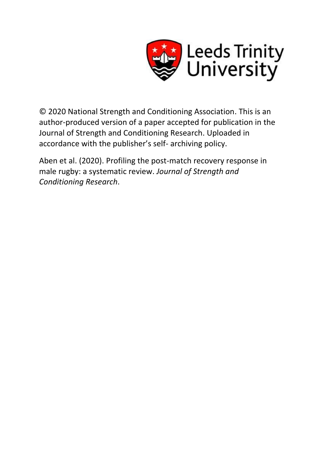

© 2020 National Strength and Conditioning Association. This is an author-produced version of a paper accepted for publication in the Journal of Strength and Conditioning Research. Uploaded in accordance with the publisher's self- archiving policy.

Aben et al. (2020). Profiling the post-match recovery response in male rugby: a systematic review. *Journal of Strength and Conditioning Research*.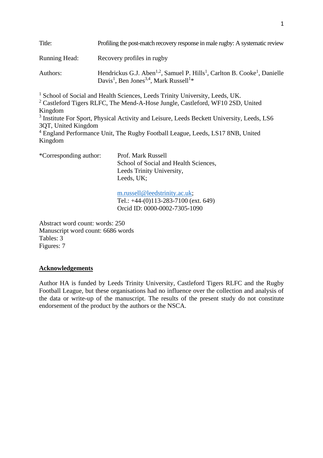| Title:               | Profiling the post-match recovery response in male rugby: A systematic review                                                                                                               |
|----------------------|---------------------------------------------------------------------------------------------------------------------------------------------------------------------------------------------|
| <b>Running Head:</b> | Recovery profiles in rugby                                                                                                                                                                  |
| Authors:             | Hendrickus G.J. Aben <sup>1,2</sup> , Samuel P. Hills <sup>1</sup> , Carlton B. Cooke <sup>1</sup> , Danielle<br>Davis <sup>1</sup> , Ben Jones <sup>3,4</sup> , Mark Russell <sup>1*</sup> |

<sup>1</sup> School of Social and Health Sciences, Leeds Trinity University, Leeds, UK.

<sup>2</sup> Castleford Tigers RLFC, The Mend-A-Hose Jungle, Castleford, WF10 2SD, United Kingdom

<sup>3</sup> Institute For Sport, Physical Activity and Leisure, Leeds Beckett University, Leeds, LS6 3QT, United Kingdom

<sup>4</sup> England Performance Unit, The Rugby Football League, Leeds, LS17 8NB, United Kingdom

\*Corresponding author: Prof. Mark Russell School of Social and Health Sciences, Leeds Trinity University, Leeds, UK;

> [m.russell@leedstrinity.ac.uk;](mailto:m.russell@leedstrinity.ac.uk) Tel.: +44-(0)113-283-7100 (ext. 649) Orcid ID: 0000-0002-7305-1090

Abstract word count: words: 250 Manuscript word count: 6686 words Tables: 3 Figures: 7

# **Acknowledgements**

Author HA is funded by Leeds Trinity University, Castleford Tigers RLFC and the Rugby Football League, but these organisations had no influence over the collection and analysis of the data or write-up of the manuscript. The results of the present study do not constitute endorsement of the product by the authors or the NSCA.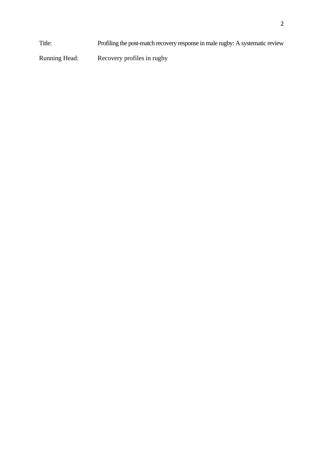Title: Profiling the post-match recovery response in male rugby: A systematic review

Running Head: Recovery profiles in rugby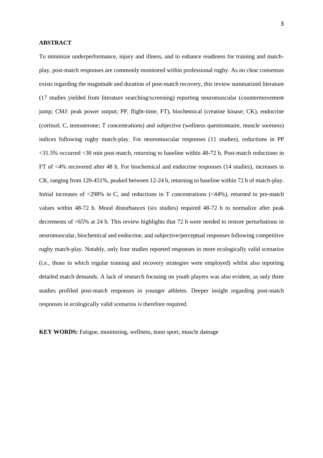### **ABSTRACT**

To minimize underperformance, injury and illness, and to enhance readiness for training and matchplay, post-match responses are commonly monitored within professional rugby. As no clear consensus exists regarding the magnitude and duration of post-match recovery, this review summarized literature (17 studies yielded from literature searching/screening) reporting neuromuscular (countermovement jump; CMJ: peak power output; PP, flight-time; FT), biochemical (creatine kinase; CK), endocrine (cortisol; C, testosterone; T concentrations) and subjective (wellness questionnaire, muscle soreness) indices following rugby match-play. For neuromuscular responses (11 studies), reductions in PP <31.5% occurred <30 min post-match, returning to baseline within 48-72 h. Post-match reductions in FT of <4% recovered after 48 h. For biochemical and endocrine responses (14 studies), increases in CK, ranging from 120-451%, peaked between 12-24 h, returning to baseline within 72 h of match-play. Initial increases of  $\langle 298\% \rangle$  in C, and reductions in T concentrations ( $\langle 44\% \rangle$ ), returned to pre-match values within 48-72 h. Mood disturbances (six studies) required 48-72 h to normalize after peak decrements of <65% at 24 h. This review highlights that 72 h were needed to restore perturbations in neuromuscular, biochemical and endocrine, and subjective/perceptual responses following competitive rugby match-play. Notably, only four studies reported responses in more ecologically valid scenarios (i.e., those in which regular training and recovery strategies were employed) whilst also reporting detailed match demands. A lack of research focusing on youth players was also evident, as only three studies profiled post-match responses in younger athletes. Deeper insight regarding post-match responses in ecologically valid scenarios is therefore required.

**KEY WORDS:** Fatigue, monitoring, wellness, team sport, muscle damage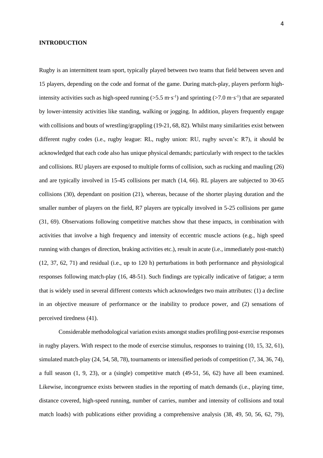#### **INTRODUCTION**

Rugby is an intermittent team sport, typically played between two teams that field between seven and 15 players, depending on the code and format of the game. During match-play, players perform highintensity activities such as high-speed running ( $>5.5$  m·s<sup>-1</sup>) and sprinting ( $>7.0$  m·s<sup>-1</sup>) that are separated by lower-intensity activities like standing, walking or jogging. In addition, players frequently engage with collisions and bouts of wrestling/grappling (19-21, 68, 82). Whilst many similarities exist between different rugby codes (i.e., rugby league: RL, rugby union: RU, rugby seven's: R7), it should be acknowledged that each code also has unique physical demands; particularly with respect to the tackles and collisions. RU players are exposed to multiple forms of collision, such as rucking and mauling (26) and are typically involved in 15-45 collisions per match (14, 66). RL players are subjected to 30-65 collisions (30), dependant on position (21), whereas, because of the shorter playing duration and the smaller number of players on the field, R7 players are typically involved in 5-25 collisions per game (31, 69). Observations following competitive matches show that these impacts, in combination with activities that involve a high frequency and intensity of eccentric muscle actions (e.g., high speed running with changes of direction, braking activities etc.), result in acute (i.e., immediately post-match) (12, 37, 62, 71) and residual (i.e., up to 120 h) perturbations in both performance and physiological responses following match-play (16, 48-51). Such findings are typically indicative of fatigue; a term that is widely used in several different contexts which acknowledges two main attributes: (1) a decline in an objective measure of performance or the inability to produce power, and (2) sensations of perceived tiredness (41).

Considerable methodological variation exists amongst studies profiling post-exercise responses in rugby players. With respect to the mode of exercise stimulus, responses to training (10, 15, 32, 61), simulated match-play (24, 54, 58, 78), tournaments or intensified periods of competition (7, 34, 36, 74), a full season (1, 9, 23), or a (single) competitive match (49-51, 56, 62) have all been examined. Likewise, incongruence exists between studies in the reporting of match demands (i.e., playing time, distance covered, high-speed running, number of carries, number and intensity of collisions and total match loads) with publications either providing a comprehensive analysis (38, 49, 50, 56, 62, 79),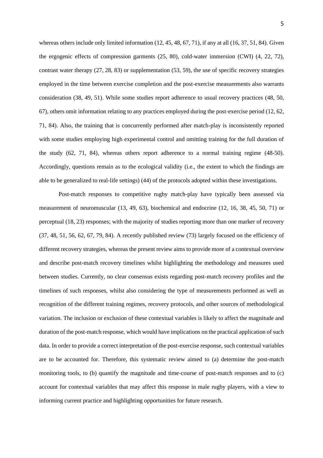whereas others include only limited information (12, 45, 48, 67, 71), if any at all (16, 37, 51, 84). Given the ergogenic effects of compression garments (25, 80), cold-water immersion (CWI) (4, 22, 72), contrast water therapy (27, 28, 83) or supplementation (53, 59), the use of specific recovery strategies employed in the time between exercise completion and the post-exercise measurements also warrants consideration (38, 49, 51). While some studies report adherence to usual recovery practices (48, 50, 67), others omit information relating to any practices employed during the post-exercise period (12, 62, 71, 84). Also, the training that is concurrently performed after match-play is inconsistently reported with some studies employing high experimental control and omitting training for the full duration of the study (62, 71, 84), whereas others report adherence to a normal training regime (48-50). Accordingly, questions remain as to the ecological validity (i.e., the extent to which the findings are able to be generalized to real-life settings) (44) of the protocols adopted within these investigations.

Post-match responses to competitive rugby match-play have typically been assessed via measurement of neuromuscular (13, 49, 63), biochemical and endocrine (12, 16, 38, 45, 50, 71) or perceptual (18, 23) responses; with the majority of studies reporting more than one marker of recovery (37, 48, 51, 56, 62, 67, 79, 84). A recently published review (73) largely focused on the efficiency of different recovery strategies, whereas the present review aims to provide more of a contextual overview and describe post-match recovery timelines whilst highlighting the methodology and measures used between studies. Currently, no clear consensus exists regarding post-match recovery profiles and the timelines of such responses, whilst also considering the type of measurements performed as well as recognition of the different training regimes, recovery protocols, and other sources of methodological variation. The inclusion or exclusion of these contextual variables is likely to affect the magnitude and duration of the post-match response, which would have implications on the practical application of such data. In order to provide a correct interpretation of the post-exercise response, such contextual variables are to be accounted for. Therefore, this systematic review aimed to (a) determine the post-match monitoring tools, to (b) quantify the magnitude and time-course of post-match responses and to (c) account for contextual variables that may affect this response in male rugby players, with a view to informing current practice and highlighting opportunities for future research.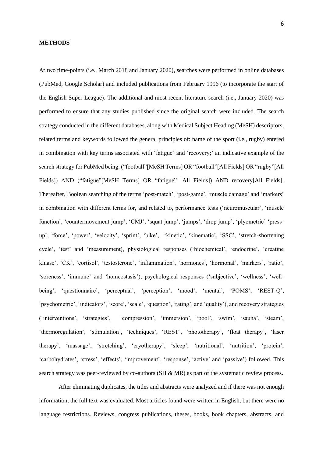#### **METHODS**

At two time-points (i.e., March 2018 and January 2020), searches were performed in online databases (PubMed, Google Scholar) and included publications from February 1996 (to incorporate the start of the English Super League). The additional and most recent literature search (i.e., January 2020) was performed to ensure that any studies published since the original search were included. The search strategy conducted in the different databases, along with Medical Subject Heading (MeSH) descriptors, related terms and keywords followed the general principles of: name of the sport (i.e., rugby) entered in combination with key terms associated with 'fatigue' and 'recovery;' an indicative example of the search strategy for PubMed being: ("football"[MeSH Terms] OR "football"[All Fields] OR "rugby"[All Fields]) AND ("fatigue"[MeSH Terms] OR "fatigue" [All Fields]) AND recovery[All Fields]. Thereafter, Boolean searching of the terms 'post-match', 'post-game', 'muscle damage' and 'markers' in combination with different terms for, and related to, performance tests ('neuromuscular', 'muscle function', 'countermovement jump', 'CMJ', 'squat jump', 'jumps', 'drop jump', 'plyometric' 'pressup', 'force', 'power', 'velocity', 'sprint', 'bike', 'kinetic', 'kinematic', 'SSC', 'stretch-shortening cycle', 'test' and 'measurement), physiological responses ('biochemical', 'endocrine', 'creatine kinase', 'CK', 'cortisol', 'testosterone', 'inflammation', 'hormones', 'hormonal', 'markers', 'ratio', 'soreness', 'immune' and 'homeostasis'), psychological responses ('subjective', 'wellness', 'wellbeing', 'questionnaire', 'perceptual', 'perception', 'mood', 'mental', 'POMS', 'REST-Q', 'psychometric', 'indicators', 'score', 'scale', 'question', 'rating', and 'quality'), and recovery strategies ('interventions', 'strategies', 'compression', 'immersion', 'pool', 'swim', 'sauna', 'steam', 'thermoregulation', 'stimulation', 'techniques', 'REST', 'phototherapy', 'float therapy', 'laser therapy', 'massage', 'stretching', 'cryotherapy', 'sleep', 'nutritional', 'nutrition', 'protein', 'carbohydrates', 'stress', 'effects', 'improvement', 'response', 'active' and 'passive') followed. This search strategy was peer-reviewed by co-authors (SH & MR) as part of the systematic review process.

After eliminating duplicates, the titles and abstracts were analyzed and if there was not enough information, the full text was evaluated. Most articles found were written in English, but there were no language restrictions. Reviews, congress publications, theses, books, book chapters, abstracts, and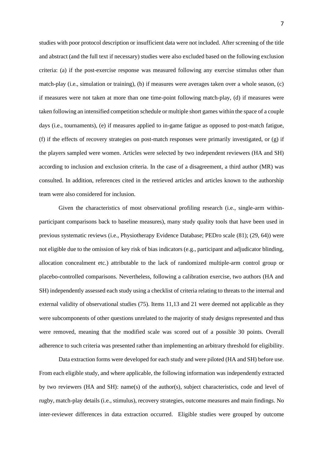studies with poor protocol description or insufficient data were not included. After screening of the title and abstract (and the full text if necessary) studies were also excluded based on the following exclusion criteria: (a) if the post-exercise response was measured following any exercise stimulus other than match-play (i.e., simulation or training), (b) if measures were averages taken over a whole season, (c) if measures were not taken at more than one time-point following match-play, (d) if measures were taken following an intensified competition schedule or multiple short games within the space of a couple days (i.e., tournaments), (e) if measures applied to in-game fatigue as opposed to post-match fatigue, (f) if the effects of recovery strategies on post-match responses were primarily investigated, or (g) if the players sampled were women. Articles were selected by two independent reviewers (HA and SH) according to inclusion and exclusion criteria. In the case of a disagreement, a third author (MR) was consulted. In addition, references cited in the retrieved articles and articles known to the authorship team were also considered for inclusion.

Given the characteristics of most observational profiling research (i.e., single-arm withinparticipant comparisons back to baseline measures), many study quality tools that have been used in previous systematic reviews (i.e., Physiotherapy Evidence Database; PEDro scale (81); (29, 64)) were not eligible due to the omission of key risk of bias indicators (e.g., participant and adjudicator blinding, allocation concealment etc.) attributable to the lack of randomized multiple-arm control group or placebo-controlled comparisons. Nevertheless, following a calibration exercise, two authors (HA and SH) independently assessed each study using a checklist of criteria relating to threats to the internal and external validity of observational studies (75). Items 11,13 and 21 were deemed not applicable as they were subcomponents of other questions unrelated to the majority of study designs represented and thus were removed, meaning that the modified scale was scored out of a possible 30 points. Overall adherence to such criteria was presented rather than implementing an arbitrary threshold for eligibility.

Data extraction forms were developed for each study and were piloted (HA and SH) before use. From each eligible study, and where applicable, the following information was independently extracted by two reviewers (HA and SH): name(s) of the author(s), subject characteristics, code and level of rugby, match-play details (i.e., stimulus), recovery strategies, outcome measures and main findings. No inter-reviewer differences in data extraction occurred. Eligible studies were grouped by outcome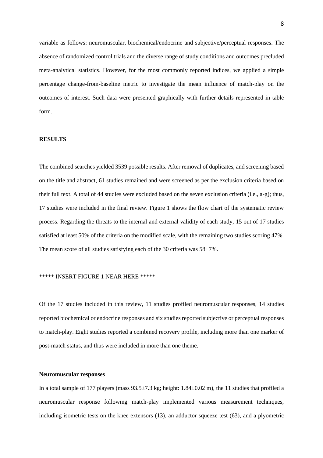variable as follows: neuromuscular, biochemical/endocrine and subjective/perceptual responses. The absence of randomized control trials and the diverse range of study conditions and outcomes precluded meta-analytical statistics. However, for the most commonly reported indices, we applied a simple percentage change-from-baseline metric to investigate the mean influence of match-play on the outcomes of interest. Such data were presented graphically with further details represented in table form.

# **RESULTS**

The combined searches yielded 3539 possible results. After removal of duplicates, and screening based on the title and abstract, 61 studies remained and were screened as per the exclusion criteria based on their full text. A total of 44 studies were excluded based on the seven exclusion criteria (i.e., a-g); thus, 17 studies were included in the final review. Figure 1 shows the flow chart of the systematic review process. Regarding the threats to the internal and external validity of each study, 15 out of 17 studies satisfied at least 50% of the criteria on the modified scale, with the remaining two studies scoring 47%. The mean score of all studies satisfying each of the 30 criteria was  $58\pm7\%$ .

# \*\*\*\*\* INSERT FIGURE 1 NEAR HERE \*\*\*\*\*

Of the 17 studies included in this review, 11 studies profiled neuromuscular responses, 14 studies reported biochemical or endocrine responses and six studies reported subjective or perceptual responses to match-play. Eight studies reported a combined recovery profile, including more than one marker of post-match status, and thus were included in more than one theme.

# **Neuromuscular responses**

In a total sample of 177 players (mass 93.5±7.3 kg; height: 1.84±0.02 m), the 11 studies that profiled a neuromuscular response following match-play implemented various measurement techniques, including isometric tests on the knee extensors (13), an adductor squeeze test (63), and a plyometric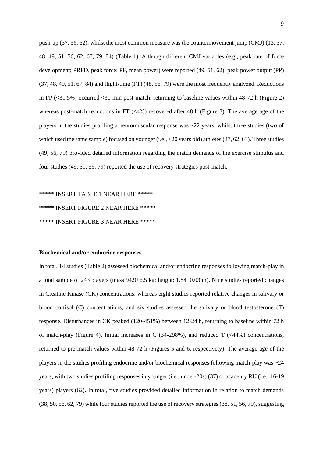push-up (37, 56, 62), whilst the most common measure was the countermovement jump (CMJ) (13, 37, 48, 49, 51, 56, 62, 67, 79, 84) (Table 1). Although different CMJ variables (e.g., peak rate of force development; PRFD, peak force; PF, mean power) were reported (49, 51, 62), peak power output (PP) (37, 48, 49, 51, 67, 84) and flight-time (FT) (48, 56, 79) were the most frequently analyzed. Reductions in PP (<31.5%) occurred <30 min post-match, returning to baseline values within 48-72 h (Figure 2) whereas post-match reductions in FT (<4%) recovered after 48 h (Figure 3). The average age of the players in the studies profiling a neuromuscular response was ~22 years, whilst three studies (two of which used the same sample) focused on younger (i.e., <20 years old) athletes (37, 62, 63). Three studies (49, 56, 79) provided detailed information regarding the match demands of the exercise stimulus and four studies (49, 51, 56, 79) reported the use of recovery strategies post-match.

\*\*\*\*\* INSERT TABLE 1 NEAR HERE \*\*\*\*\* \*\*\*\*\* INSERT FIGURE 2 NEAR HERE \*\*\*\*\* \*\*\*\*\* INSERT FIGURE 3 NEAR HERE \*\*\*\*\*

# **Biochemical and/or endocrine responses**

In total, 14 studies (Table 2) assessed biochemical and/or endocrine responses following match-play in a total sample of 243 players (mass 94.9±6.5 kg; height: 1.84±0.03 m). Nine studies reported changes in Creatine Kinase (CK) concentrations, whereas eight studies reported relative changes in salivary or blood cortisol (C) concentrations, and six studies assessed the salivary or blood testosterone (T) response. Disturbances in CK peaked (120-451%) between 12-24 h, returning to baseline within 72 h of match-play (Figure 4). Initial increases in C (34-298%), and reduced T (<44%) concentrations, returned to pre-match values within 48-72 h (Figures 5 and 6, respectively). The average age of the players in the studies profiling endocrine and/or biochemical responses following match-play was ~24 years, with two studies profiling responses in younger (i.e., under-20s) (37) or academy RU (i.e., 16-19 years) players (62). In total, five studies provided detailed information in relation to match demands (38, 50, 56, 62, 79) while four studies reported the use of recovery strategies (38, 51, 56, 79), suggesting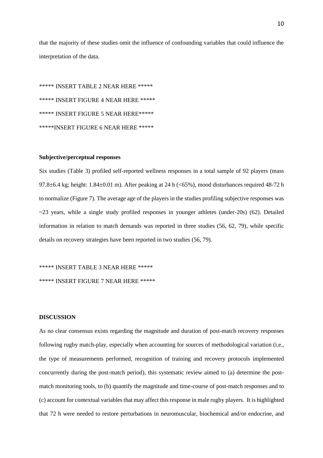that the majority of these studies omit the influence of confounding variables that could influence the interpretation of the data.

\*\*\*\*\* INSERT TABLE 2 NEAR HERE \*\*\*\*\* \*\*\*\*\* INSERT FIGURE 4 NEAR HERE \*\*\*\*\* \*\*\*\*\* INSERT FIGURE 5 NEAR HERE\*\*\*\*\* \*\*\*\*\*INSERT FIGURE 6 NEAR HERE \*\*\*\*\*

# **Subjective/perceptual responses**

Six studies (Table 3) profiled self-reported wellness responses in a total sample of 92 players (mass 97.8 $\pm$ 6.4 kg; height: 1.84 $\pm$ 0.01 m). After peaking at 24 h (<65%), mood disturbances required 48-72 h to normalize (Figure 7). The average age of the players in the studies profiling subjective responses was  $\sim$ 23 years, while a single study profiled responses in younger athletes (under-20s) (62). Detailed information in relation to match demands was reported in three studies (56, 62, 79), while specific details on recovery strategies have been reported in two studies (56, 79).

\*\*\*\*\* INSERT TABLE 3 NEAR HERE \*\*\*\*\*

\*\*\*\*\* INSERT FIGURE 7 NEAR HERE \*\*\*\*\*

# **DISCUSSION**

As no clear consensus exists regarding the magnitude and duration of post-match recovery responses following rugby match-play, especially when accounting for sources of methodological variation (i.e., the type of measurements performed, recognition of training and recovery protocols implemented concurrently during the post-match period), this systematic review aimed to (a) determine the postmatch monitoring tools, to (b) quantify the magnitude and time-course of post-match responses and to (c) account for contextual variables that may affect this response in male rugby players. It is highlighted that 72 h were needed to restore perturbations in neuromuscular, biochemical and/or endocrine, and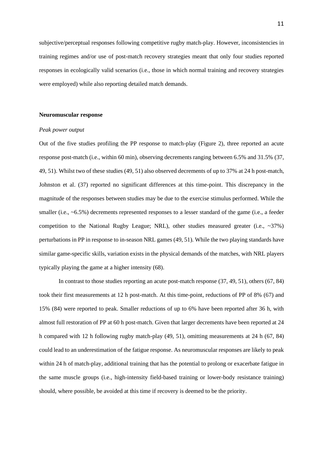subjective/perceptual responses following competitive rugby match-play. However, inconsistencies in training regimes and/or use of post-match recovery strategies meant that only four studies reported responses in ecologically valid scenarios (i.e., those in which normal training and recovery strategies were employed) while also reporting detailed match demands.

# **Neuromuscular response**

#### *Peak power output*

Out of the five studies profiling the PP response to match-play (Figure 2), three reported an acute response post-match (i.e., within 60 min), observing decrements ranging between 6.5% and 31.5% (37, 49, 51). Whilst two of these studies (49, 51) also observed decrements of up to 37% at 24 h post-match, Johnston et al. (37) reported no significant differences at this time-point. This discrepancy in the magnitude of the responses between studies may be due to the exercise stimulus performed. While the smaller (i.e., ~6.5%) decrements represented responses to a lesser standard of the game (i.e., a feeder competition to the National Rugby League; NRL), other studies measured greater (i.e., ~37%) perturbations in PP in response to in-season NRL games (49, 51). While the two playing standards have similar game-specific skills, variation exists in the physical demands of the matches, with NRL players typically playing the game at a higher intensity (68).

In contrast to those studies reporting an acute post-match response (37, 49, 51), others (67, 84) took their first measurements at 12 h post-match. At this time-point, reductions of PP of 8% (67) and 15% (84) were reported to peak. Smaller reductions of up to 6% have been reported after 36 h, with almost full restoration of PP at 60 h post-match. Given that larger decrements have been reported at 24 h compared with 12 h following rugby match-play (49, 51), omitting measurements at 24 h (67, 84) could lead to an underestimation of the fatigue response. As neuromuscular responses are likely to peak within 24 h of match-play, additional training that has the potential to prolong or exacerbate fatigue in the same muscle groups (i.e., high-intensity field-based training or lower-body resistance training) should, where possible, be avoided at this time if recovery is deemed to be the priority.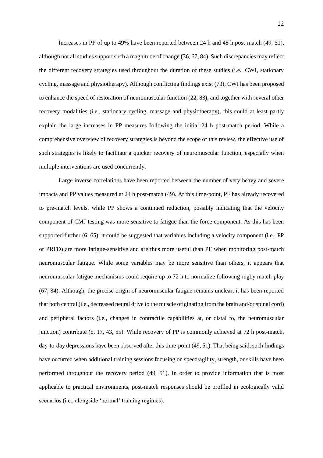Increases in PP of up to 49% have been reported between 24 h and 48 h post-match (49, 51), although not all studies support such a magnitude of change (36, 67, 84). Such discrepancies may reflect the different recovery strategies used throughout the duration of these studies (i.e., CWI, stationary cycling, massage and physiotherapy). Although conflicting findings exist (73), CWI has been proposed to enhance the speed of restoration of neuromuscular function (22, 83), and together with several other recovery modalities (i.e., stationary cycling, massage and physiotherapy), this could at least partly explain the large increases in PP measures following the initial 24 h post-match period. While a comprehensive overview of recovery strategies is beyond the scope of this review, the effective use of such strategies is likely to facilitate a quicker recovery of neuromuscular function, especially when multiple interventions are used concurrently.

Large inverse correlations have been reported between the number of very heavy and severe impacts and PP values measured at 24 h post-match (49). At this time-point, PF has already recovered to pre-match levels, while PP shows a continued reduction, possibly indicating that the velocity component of CMJ testing was more sensitive to fatigue than the force component. As this has been supported further (6, 65), it could be suggested that variables including a velocity component (i.e., PP or PRFD) are more fatigue-sensitive and are thus more useful than PF when monitoring post-match neuromuscular fatigue. While some variables may be more sensitive than others, it appears that neuromuscular fatigue mechanisms could require up to 72 h to normalize following rugby match-play (67, 84). Although, the precise origin of neuromuscular fatigue remains unclear, it has been reported that both central (i.e., decreased neural drive to the muscle originating from the brain and/or spinal cord) and peripheral factors (i.e., changes in contractile capabilities at, or distal to, the neuromuscular junction) contribute (5, 17, 43, 55). While recovery of PP is commonly achieved at 72 h post-match, day-to-day depressions have been observed after this time-point (49, 51). That being said, such findings have occurred when additional training sessions focusing on speed/agility, strength, or skills have been performed throughout the recovery period (49, 51). In order to provide information that is most applicable to practical environments, post-match responses should be profiled in ecologically valid scenarios (i.e., alongside 'normal' training regimes).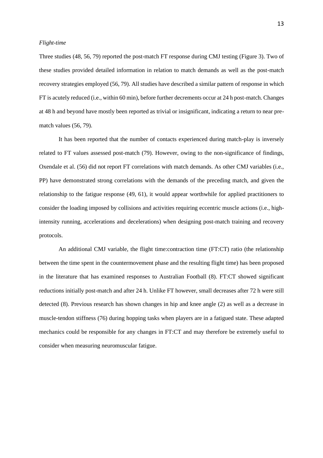## *Flight-time*

Three studies (48, 56, 79) reported the post-match FT response during CMJ testing (Figure 3). Two of these studies provided detailed information in relation to match demands as well as the post-match recovery strategies employed (56, 79). All studies have described a similar pattern of response in which FT is acutely reduced (i.e., within 60 min), before further decrements occur at 24 h post-match. Changes at 48 h and beyond have mostly been reported as trivial or insignificant, indicating a return to near prematch values (56, 79).

It has been reported that the number of contacts experienced during match-play is inversely related to FT values assessed post-match (79). However, owing to the non-significance of findings, Oxendale et al. (56) did not report FT correlations with match demands. As other CMJ variables (i.e., PP) have demonstrated strong correlations with the demands of the preceding match, and given the relationship to the fatigue response (49, 61), it would appear worthwhile for applied practitioners to consider the loading imposed by collisions and activities requiring eccentric muscle actions (i.e., highintensity running, accelerations and decelerations) when designing post-match training and recovery protocols.

An additional CMJ variable, the flight time:contraction time (FT:CT) ratio (the relationship between the time spent in the countermovement phase and the resulting flight time) has been proposed in the literature that has examined responses to Australian Football (8). FT:CT showed significant reductions initially post-match and after 24 h. Unlike FT however, small decreases after 72 h were still detected (8). Previous research has shown changes in hip and knee angle (2) as well as a decrease in muscle-tendon stiffness (76) during hopping tasks when players are in a fatigued state. These adapted mechanics could be responsible for any changes in FT:CT and may therefore be extremely useful to consider when measuring neuromuscular fatigue.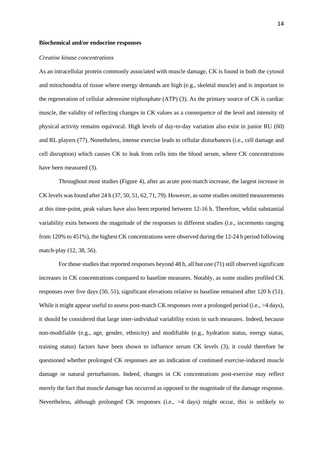#### **Biochemical and/or endocrine responses**

# *Creatine kinase concentrations*

As an intracellular protein commonly associated with muscle damage, CK is found in both the cytosol and mitochondria of tissue where energy demands are high (e.g., skeletal muscle) and is important in the regeneration of cellular adenosine triphosphate (ATP) (3). As the primary source of CK is cardiac muscle, the validity of reflecting changes in CK values as a consequence of the level and intensity of physical activity remains equivocal. High levels of day-to-day variation also exist in junior RU (60) and RL players (77). Nonetheless, intense exercise leads to cellular disturbances (i.e., cell damage and cell disruption) which causes CK to leak from cells into the blood serum, where CK concentrations have been measured (3).

Throughout most studies (Figure 4), after an acute post-match increase, the largest increase in CK levels was found after 24 h (37, 50, 51, 62, 71, 79). However, as some studies omitted measurements at this time-point, peak values have also been reported between 12-16 h. Therefore, whilst substantial variability exits between the magnitude of the responses in different studies (i.e., increments ranging from 120% to 451%), the highest CK concentrations were observed during the 12-24 h period following match-play (12, 38, 56).

For those studies that reported responses beyond 48 h, all but one (71) still observed significant increases in CK concentrations compared to baseline measures. Notably, as some studies profiled CK responses over five days (50, 51), significant elevations relative to baseline remained after 120 h (51). While it might appear useful to assess post-match CK responses over a prolonged period (i.e.,  $>4$  days), it should be considered that large inter-individual variability exists in such measures. Indeed, because non-modifiable (e.g., age, gender, ethnicity) and modifiable (e.g., hydration status, energy status, training status) factors have been shown to influence serum CK levels (3), it could therefore be questioned whether prolonged CK responses are an indication of continued exercise-induced muscle damage or natural perturbations. Indeed, changes in CK concentrations post-exercise may reflect merely the fact that muscle damage has occurred as opposed to the magnitude of the damage response. Nevertheless, although prolonged CK responses (i.e., >4 days) might occur, this is unlikely to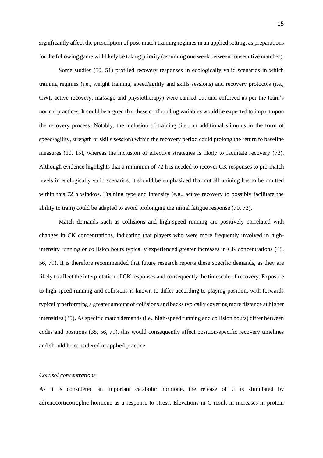significantly affect the prescription of post-match training regimes in an applied setting, as preparations for the following game will likely be taking priority (assuming one week between consecutive matches).

Some studies (50, 51) profiled recovery responses in ecologically valid scenarios in which training regimes (i.e., weight training, speed/agility and skills sessions) and recovery protocols (i.e., CWI, active recovery, massage and physiotherapy) were carried out and enforced as per the team's normal practices. It could be argued that these confounding variables would be expected to impact upon the recovery process. Notably, the inclusion of training (i.e., an additional stimulus in the form of speed/agility, strength or skills session) within the recovery period could prolong the return to baseline measures (10, 15), whereas the inclusion of effective strategies is likely to facilitate recovery (73). Although evidence highlights that a minimum of 72 h is needed to recover CK responses to pre-match levels in ecologically valid scenarios, it should be emphasized that not all training has to be omitted within this 72 h window. Training type and intensity (e.g., active recovery to possibly facilitate the ability to train) could be adapted to avoid prolonging the initial fatigue response (70, 73).

Match demands such as collisions and high-speed running are positively correlated with changes in CK concentrations, indicating that players who were more frequently involved in highintensity running or collision bouts typically experienced greater increases in CK concentrations (38, 56, 79). It is therefore recommended that future research reports these specific demands, as they are likely to affect the interpretation of CK responses and consequently the timescale of recovery. Exposure to high-speed running and collisions is known to differ according to playing position, with forwards typically performing a greater amount of collisions and backs typically covering more distance at higher intensities(35). As specific match demands (i.e., high-speed running and collision bouts) differ between codes and positions (38, 56, 79), this would consequently affect position-specific recovery timelines and should be considered in applied practice.

# *Cortisol concentrations*

As it is considered an important catabolic hormone, the release of C is stimulated by adrenocorticotrophic hormone as a response to stress. Elevations in C result in increases in protein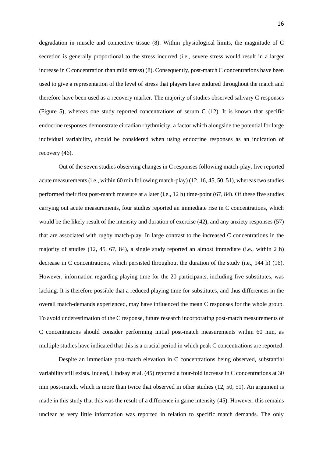degradation in muscle and connective tissue (8). Within physiological limits, the magnitude of C secretion is generally proportional to the stress incurred (i.e., severe stress would result in a larger increase in C concentration than mild stress) (8). Consequently, post-match C concentrations have been used to give a representation of the level of stress that players have endured throughout the match and therefore have been used as a recovery marker. The majority of studies observed salivary C responses (Figure 5), whereas one study reported concentrations of serum C (12). It is known that specific endocrine responses demonstrate circadian rhythmicity; a factor which alongside the potential for large individual variability, should be considered when using endocrine responses as an indication of recovery (46).

Out of the seven studies observing changes in C responses following match-play, five reported acute measurements (i.e., within 60 min following match-play) (12, 16, 45, 50, 51), whereas two studies performed their first post-match measure at a later (i.e., 12 h) time-point (67, 84). Of these five studies carrying out acute measurements, four studies reported an immediate rise in C concentrations, which would be the likely result of the intensity and duration of exercise (42), and any anxiety responses (57) that are associated with rugby match-play. In large contrast to the increased C concentrations in the majority of studies (12, 45, 67, 84), a single study reported an almost immediate (i.e., within 2 h) decrease in C concentrations, which persisted throughout the duration of the study (i.e., 144 h) (16). However, information regarding playing time for the 20 participants, including five substitutes, was lacking. It is therefore possible that a reduced playing time for substitutes, and thus differences in the overall match-demands experienced, may have influenced the mean C responses for the whole group. To avoid underestimation of the C response, future research incorporating post-match measurements of C concentrations should consider performing initial post-match measurements within 60 min, as multiple studies have indicated that this is a crucial period in which peak C concentrations are reported.

Despite an immediate post-match elevation in C concentrations being observed, substantial variability still exists. Indeed, Lindsay et al. (45) reported a four-fold increase in C concentrations at 30 min post-match, which is more than twice that observed in other studies (12, 50, 51). An argument is made in this study that this was the result of a difference in game intensity (45). However, this remains unclear as very little information was reported in relation to specific match demands. The only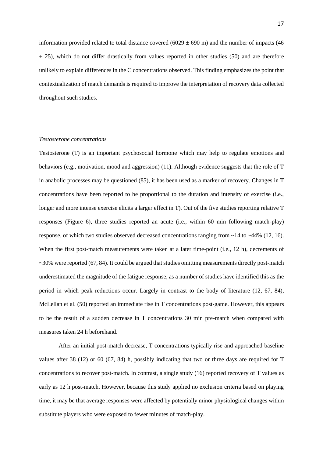information provided related to total distance covered (6029  $\pm$  690 m) and the number of impacts (46  $\pm$  25), which do not differ drastically from values reported in other studies (50) and are therefore unlikely to explain differences in the C concentrations observed. This finding emphasizes the point that contextualization of match demands is required to improve the interpretation of recovery data collected throughout such studies.

# *Testosterone concentrations*

Testosterone (T) is an important psychosocial hormone which may help to regulate emotions and behaviors (e.g., motivation, mood and aggression) (11). Although evidence suggests that the role of T in anabolic processes may be questioned (85), it has been used as a marker of recovery. Changes in T concentrations have been reported to be proportional to the duration and intensity of exercise (i.e., longer and more intense exercise elicits a larger effect in T). Out of the five studies reporting relative T responses (Figure 6), three studies reported an acute (i.e., within 60 min following match-play) response, of which two studies observed decreased concentrations ranging from ~14 to ~44% (12, 16). When the first post-match measurements were taken at a later time-point (i.e., 12 h), decrements of  $\sim$ 30% were reported (67, 84). It could be argued that studies omitting measurements directly post-match underestimated the magnitude of the fatigue response, as a number of studies have identified this as the period in which peak reductions occur. Largely in contrast to the body of literature (12, 67, 84), McLellan et al. (50) reported an immediate rise in T concentrations post-game. However, this appears to be the result of a sudden decrease in T concentrations 30 min pre-match when compared with measures taken 24 h beforehand.

After an initial post-match decrease, T concentrations typically rise and approached baseline values after 38 (12) or 60 (67, 84) h, possibly indicating that two or three days are required for T concentrations to recover post-match. In contrast, a single study (16) reported recovery of T values as early as 12 h post-match. However, because this study applied no exclusion criteria based on playing time, it may be that average responses were affected by potentially minor physiological changes within substitute players who were exposed to fewer minutes of match-play.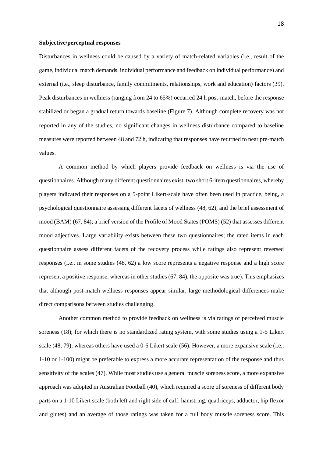#### **Subjective/perceptual responses**

Disturbances in wellness could be caused by a variety of match-related variables (i.e., result of the game, individual match demands, individual performance and feedback on individual performance) and external (i.e., sleep disturbance, family commitments, relationships, work and education) factors (39). Peak disturbances in wellness (ranging from 24 to 65%) occurred 24 h post-match, before the response stabilized or began a gradual return towards baseline (Figure 7). Although complete recovery was not reported in any of the studies, no significant changes in wellness disturbance compared to baseline measures were reported between 48 and 72 h, indicating that responses have returned to near pre-match values.

A common method by which players provide feedback on wellness is via the use of questionnaires. Although many different questionnaires exist, two short 6-item questionnaires, whereby players indicated their responses on a 5-point Likert-scale have often been used in practice, being, a psychological questionnaire assessing different facets of wellness (48, 62), and the brief assessment of mood (BAM) (67, 84); a brief version of the Profile of Mood States (POMS) (52) that assesses different mood adjectives. Large variability exists between these two questionnaires; the rated items in each questionnaire assess different facets of the recovery process while ratings also represent reversed responses (i.e., in some studies (48, 62) a low score represents a negative response and a high score represent a positive response, whereas in other studies (67, 84), the opposite was true). This emphasizes that although post-match wellness responses appear similar, large methodological differences make direct comparisons between studies challenging.

Another common method to provide feedback on wellness is via ratings of perceived muscle soreness (18); for which there is no standardized rating system, with some studies using a 1-5 Likert scale (48, 79), whereas others have used a 0-6 Likert scale (56). However, a more expansive scale (i.e., 1-10 or 1-100) might be preferable to express a more accurate representation of the response and thus sensitivity of the scales (47). While most studies use a general muscle soreness score, a more expansive approach was adopted in Australian Football (40), which required a score of soreness of different body parts on a 1-10 Likert scale (both left and right side of calf, hamstring, quadriceps, adductor, hip flexor and glutes) and an average of those ratings was taken for a full body muscle soreness score. This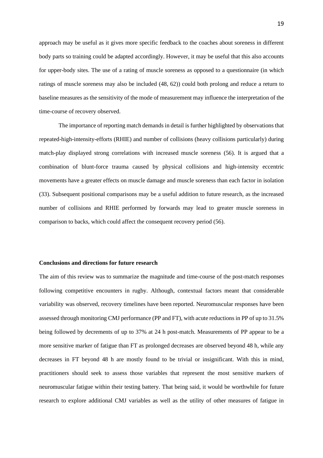approach may be useful as it gives more specific feedback to the coaches about soreness in different body parts so training could be adapted accordingly. However, it may be useful that this also accounts for upper-body sites. The use of a rating of muscle soreness as opposed to a questionnaire (in which ratings of muscle soreness may also be included (48, 62)) could both prolong and reduce a return to baseline measures as the sensitivity of the mode of measurement may influence the interpretation of the time-course of recovery observed.

The importance of reporting match demands in detail is further highlighted by observations that repeated-high-intensity-efforts (RHIE) and number of collisions (heavy collisions particularly) during match-play displayed strong correlations with increased muscle soreness (56). It is argued that a combination of blunt-force trauma caused by physical collisions and high-intensity eccentric movements have a greater effects on muscle damage and muscle soreness than each factor in isolation (33). Subsequent positional comparisons may be a useful addition to future research, as the increased number of collisions and RHIE performed by forwards may lead to greater muscle soreness in comparison to backs, which could affect the consequent recovery period (56).

# **Conclusions and directions for future research**

The aim of this review was to summarize the magnitude and time-course of the post-match responses following competitive encounters in rugby. Although, contextual factors meant that considerable variability was observed, recovery timelines have been reported. Neuromuscular responses have been assessed through monitoring CMJ performance (PP and FT), with acute reductions in PP of up to 31.5% being followed by decrements of up to 37% at 24 h post-match. Measurements of PP appear to be a more sensitive marker of fatigue than FT as prolonged decreases are observed beyond 48 h, while any decreases in FT beyond 48 h are mostly found to be trivial or insignificant. With this in mind, practitioners should seek to assess those variables that represent the most sensitive markers of neuromuscular fatigue within their testing battery. That being said, it would be worthwhile for future research to explore additional CMJ variables as well as the utility of other measures of fatigue in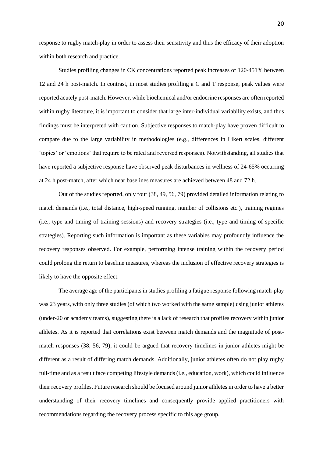response to rugby match-play in order to assess their sensitivity and thus the efficacy of their adoption within both research and practice.

Studies profiling changes in CK concentrations reported peak increases of 120-451% between 12 and 24 h post-match. In contrast, in most studies profiling a C and T response, peak values were reported acutely post-match. However, while biochemical and/or endocrine responses are often reported within rugby literature, it is important to consider that large inter-individual variability exists, and thus findings must be interpreted with caution. Subjective responses to match-play have proven difficult to compare due to the large variability in methodologies (e.g., differences in Likert scales, different 'topics' or 'emotions' that require to be rated and reversed responses). Notwithstanding, all studies that have reported a subjective response have observed peak disturbances in wellness of 24-65% occurring at 24 h post-match, after which near baselines measures are achieved between 48 and 72 h.

Out of the studies reported, only four (38, 49, 56, 79) provided detailed information relating to match demands (i.e., total distance, high-speed running, number of collisions etc.), training regimes (i.e., type and timing of training sessions) and recovery strategies (i.e., type and timing of specific strategies). Reporting such information is important as these variables may profoundly influence the recovery responses observed. For example, performing intense training within the recovery period could prolong the return to baseline measures, whereas the inclusion of effective recovery strategies is likely to have the opposite effect.

The average age of the participants in studies profiling a fatigue response following match-play was 23 years, with only three studies (of which two worked with the same sample) using junior athletes (under-20 or academy teams), suggesting there is a lack of research that profiles recovery within junior athletes. As it is reported that correlations exist between match demands and the magnitude of postmatch responses (38, 56, 79), it could be argued that recovery timelines in junior athletes might be different as a result of differing match demands. Additionally, junior athletes often do not play rugby full-time and as a result face competing lifestyle demands (i.e., education, work), which could influence their recovery profiles. Future research should be focused around junior athletes in order to have a better understanding of their recovery timelines and consequently provide applied practitioners with recommendations regarding the recovery process specific to this age group.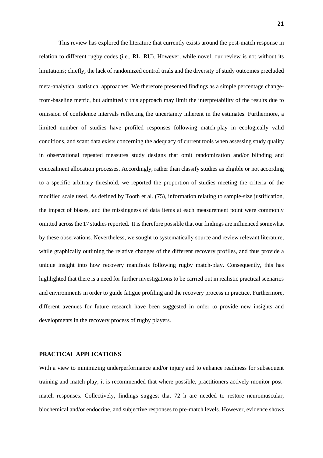This review has explored the literature that currently exists around the post-match response in relation to different rugby codes (i.e., RL, RU). However, while novel, our review is not without its limitations; chiefly, the lack of randomized control trials and the diversity of study outcomes precluded meta-analytical statistical approaches. We therefore presented findings as a simple percentage changefrom-baseline metric, but admittedly this approach may limit the interpretability of the results due to omission of confidence intervals reflecting the uncertainty inherent in the estimates. Furthermore, a limited number of studies have profiled responses following match-play in ecologically valid conditions, and scant data exists concerning the adequacy of current tools when assessing study quality in observational repeated measures study designs that omit randomization and/or blinding and concealment allocation processes. Accordingly, rather than classify studies as eligible or not according to a specific arbitrary threshold, we reported the proportion of studies meeting the criteria of the modified scale used. As defined by Tooth et al. (75), information relating to sample-size justification, the impact of biases, and the missingness of data items at each measurement point were commonly omitted across the 17 studies reported. It is therefore possible that our findings are influenced somewhat by these observations. Nevertheless, we sought to systematically source and review relevant literature, while graphically outlining the relative changes of the different recovery profiles, and thus provide a unique insight into how recovery manifests following rugby match-play. Consequently, this has highlighted that there is a need for further investigations to be carried out in realistic practical scenarios and environments in order to guide fatigue profiling and the recovery process in practice. Furthermore, different avenues for future research have been suggested in order to provide new insights and developments in the recovery process of rugby players.

#### **PRACTICAL APPLICATIONS**

With a view to minimizing underperformance and/or injury and to enhance readiness for subsequent training and match-play, it is recommended that where possible, practitioners actively monitor postmatch responses. Collectively, findings suggest that 72 h are needed to restore neuromuscular, biochemical and/or endocrine, and subjective responses to pre-match levels. However, evidence shows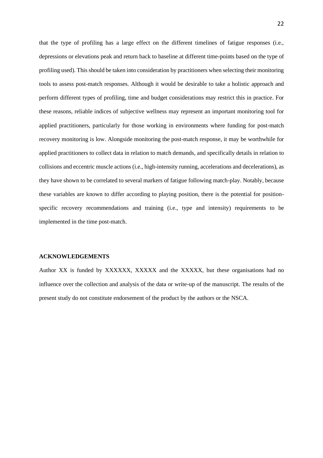that the type of profiling has a large effect on the different timelines of fatigue responses (i.e., depressions or elevations peak and return back to baseline at different time-points based on the type of profiling used). This should be taken into consideration by practitioners when selecting their monitoring tools to assess post-match responses. Although it would be desirable to take a holistic approach and perform different types of profiling, time and budget considerations may restrict this in practice. For these reasons, reliable indices of subjective wellness may represent an important monitoring tool for applied practitioners, particularly for those working in environments where funding for post-match recovery monitoring is low. Alongside monitoring the post-match response, it may be worthwhile for applied practitioners to collect data in relation to match demands, and specifically details in relation to collisions and eccentric muscle actions (i.e., high-intensity running, accelerations and decelerations), as they have shown to be correlated to several markers of fatigue following match-play. Notably, because these variables are known to differ according to playing position, there is the potential for positionspecific recovery recommendations and training (i.e., type and intensity) requirements to be implemented in the time post-match.

## **ACKNOWLEDGEMENTS**

Author XX is funded by XXXXXX, XXXXX and the XXXXX, but these organisations had no influence over the collection and analysis of the data or write-up of the manuscript. The results of the present study do not constitute endorsement of the product by the authors or the NSCA.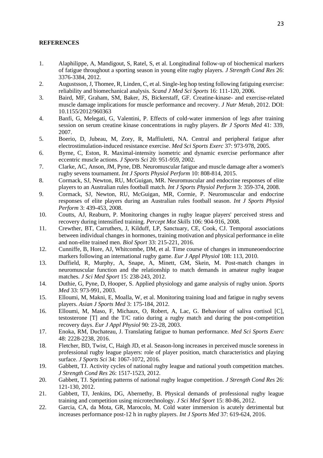# **REFERENCES**

- 1. Alaphilippe, A, Mandigout, S, Ratel, S, et al. Longitudinal follow-up of biochemical markers of fatigue throughout a sporting season in young elite rugby players. *J Strength Cond Res* 26: 3376-3384, 2012.
- 2. Augustsson, J, Thomee, R, Linden, C, et al. Single-leg hop testing following fatiguing exercise: reliability and biomechanical analysis. *Scand J Med Sci Sports* 16: 111-120, 2006.
- 3. Baird, MF, Graham, SM, Baker, JS, Bickerstaff, GF. Creatine-kinase- and exercise-related muscle damage implications for muscle performance and recovery. *J Nutr Metab*, 2012. DOI: 10.1155/2012/960363
- 4. Banfi, G, Melegati, G, Valentini, P. Effects of cold-water immersion of legs after training session on serum creatine kinase concentrations in rugby players. *Br J Sports Med* 41: 339, 2007.
- 5. Boerio, D, Jubeau, M, Zory, R, Maffiuletti, NA. Central and peripheral fatigue after electrostimulation-induced resistance exercise. *Med Sci Sports Exerc* 37: 973-978, 2005.
- 6. Byrne, C, Eston, R. Maximal-intensity isometric and dynamic exercise performance after eccentric muscle actions. *J Sports Sci* 20: 951-959, 2002.
- 7. Clarke, AC, Anson, JM, Pyne, DB. Neuromuscular fatigue and muscle damage after a women's rugby sevens tournament. *Int J Sports Physiol Perform* 10: 808-814, 2015.
- 8. Cormack, SJ, Newton, RU, McGuigan, MR. Neuromuscular and endocrine responses of elite players to an Australian rules football match. *Int J Sports Physiol Perform* 3: 359-374, 2008.
- 9. Cormack, SJ, Newton, RU, McGuigan, MR, Cormie, P. Neuromuscular and endocrine responses of elite players during an Australian rules football season. *Int J Sports Physiol Perform* 3: 439-453, 2008.
- 10. Coutts, AJ, Reaburn, P. Monitoring changes in rugby league players' perceived stress and recovery during intensified training. *Percept Mot Skills* 106: 904-916, 2008.
- 11. Crewther, BT, Carruthers, J, Kilduff, LP, Sanctuary, CE, Cook, CJ. Temporal associations between individual changes in hormones, training motivation and physical performance in elite and non-elite trained men. *Biol Sport* 33: 215-221, 2016.
- 12. Cunniffe, B, Hore, AJ, Whitcombe, DM, et al. Time course of changes in immuneoendocrine markers following an international rugby game. *Eur J Appl Physiol* 108: 113, 2010.
- 13. Duffield, R, Murphy, A, Snape, A, Minett, GM, Skein, M. Post-match changes in neuromuscular function and the relationship to match demands in amateur rugby league matches. *J Sci Med Sport* 15: 238-243, 2012.
- 14. Duthie, G, Pyne, D, Hooper, S. Applied physiology and game analysis of rugby union. *Sports Med* 33: 973-991, 2003.
- 15. Elloumi, M, Makni, E, Moalla, W, et al. Monitoring training load and fatigue in rugby sevens players. *Asian J Sports Med* 3: 175-184, 2012.
- 16. Elloumi, M, Maso, F, Michaux, O, Robert, A, Lac, G. Behaviour of saliva cortisol [C], testosterone [T] and the T/C ratio during a rugby match and during the post-competition recovery days. *Eur J Appl Physiol* 90: 23-28, 2003.
- 17. Enoka, RM, Duchateau, J. Translating fatigue to human performance. *Med Sci Sports Exerc* 48: 2228-2238, 2016.
- 18. Fletcher, BD, Twist, C, Haigh JD, et al. Season-long increases in perceived muscle soreness in professional rugby league players: role of player position, match characteristics and playing surface. *J Sports Sci* 34: 1067-1072, 2016.
- 19. Gabbett, TJ. Activity cycles of national rugby league and national youth competition matches. *J Strength Cond Res* 26: 1517-1523, 2012.
- 20. Gabbett, TJ. Sprinting patterns of national rugby league competition. *J Strength Cond Res* 26: 121-130, 2012.
- 21. Gabbett, TJ, Jenkins, DG, Abernethy, B. Physical demands of professional rugby league training and competition using microtechnology. *J Sci Med Sport* 15: 80-86, 2012.
- 22. Garcia, CA, da Mota, GR, Marocolo, M. Cold water immersion is acutely detrimental but increases performance post-12 h in rugby players. *Int J Sports Med* 37: 619-624, 2016.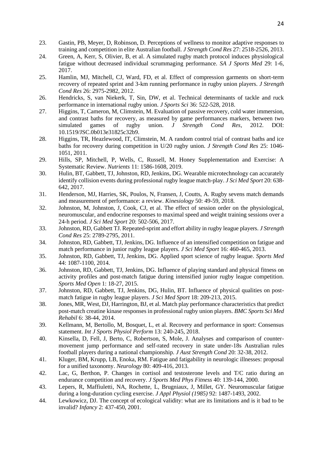- 23. Gastin, PB, Meyer, D, Robinson, D. Perceptions of wellness to monitor adaptive responses to training and competition in elite Australian football. *J Strength Cond Res* 27: 2518-2526, 2013.
- 24. Green, A, Kerr, S, Olivier, B, et al. A simulated rugby match protocol induces physiological fatigue without decreased individual scrummaging performance. *SA J Sports Med* 29: 1-6, 2017.
- 25. Hamlin, MJ, Mitchell, CJ, Ward, FD, et al. Effect of compression garments on short-term recovery of repeated sprint and 3-km running performance in rugby union players. *J Strength Cond Res* 26: 2975-2982, 2012.
- 26. Hendricks, S, van Niekerk, T, Sin, DW, et al. Technical determinants of tackle and ruck performance in international rugby union. *J Sports Sci* 36: 522-528, 2018.
- 27. Higgins, T, Cameron, M, Climstein, M. Evaluation of passive recovery, cold water immersion, and contrast baths for recovery, as measured by game performances markers, between two simulated games of rugby union. *J Strength Cond Res*, 2012. DOI: 10.1519/JSC.0b013e31825c32b9.
- 28. Higgins, TR, Heazlewood, IT, Climstein, M. A random control trial of contrast baths and ice baths for recovery during competition in U/20 rugby union. *J Strength Cond Res* 25: 1046- 1051, 2011.
- 29. Hills, SP, Mitchell, P, Wells, C, Russell, M. Honey Supplementation and Exercise: A Systematic Review. *Nutrients* 11: 1586-1608, 2019.
- 30. Hulin, BT, Gabbett, TJ, Johnston, RD, Jenkins, DG. Wearable microtechnology can accurately identify collision events during professional rugby league match-play. *J Sci Med Sport* 20: 638- 642, 2017.
- 31. Henderson, MJ, Harries, SK, Poulos, N, Fransen, J, Coutts, A. Rugby sevens match demands and measurement of performance: a review. *Kinesiology* 50: 49-59, 2018.
- 32. Johnston, M, Johnston, J, Cook, CJ, et al. The effect of session order on the physiological, neuromuscular, and endocrine responses to maximal speed and weight training sessions over a 24-h period. *J Sci Med Sport* 20: 502-506, 2017.
- 33. Johnston, RD, Gabbett TJ. Repeated-sprint and effort ability in rugby league players. *J Strength Cond Res* 25: 2789-2795, 2011.
- 34. Johnston, RD, Gabbett, TJ, Jenkins, DG. Influence of an intensified competition on fatigue and match performance in junior rugby league players. *J Sci Med Sport* 16: 460-465, 2013.
- 35. Johnston, RD, Gabbett, TJ, Jenkins, DG. Applied sport science of rugby league. *Sports Med*  44: 1087-1100, 2014.
- 36. Johnston, RD, Gabbett, TJ, Jenkins, DG. Influence of playing standard and physical fitness on activity profiles and post-match fatigue during intensified junior rugby league competition. *Sports Med Open* 1: 18-27, 2015.
- 37. Johnston, RD, Gabbett, TJ, Jenkins, DG, Hulin, BT. Influence of physical qualities on postmatch fatigue in rugby league players. *J Sci Med Sport* 18: 209-213, 2015.
- 38. Jones, MR, West, DJ, Harrington, BJ, et al. Match play performance characteristics that predict post-match creatine kinase responses in professional rugby union players. *BMC Sports Sci Med Rehabil* 6: 38-44, 2014.
- 39. Kellmann, M, Bertollo, M, Bosquet, L, et al. Recovery and performance in sport: Consensus statement. *Int J Sports Physiol Perform* 13: 240-245, 2018.
- 40. Kinsella, D, Fell, J, Berto, C, Robertson, S, Mole, J. Analyses and comparison of countermovement jump performance and self-rated recovery in state under-18s Australian rules football players during a national championship. *J Aust Strength Cond* 20: 32-38, 2012.
- 41. Kluger, BM, Krupp, LB, Enoka, RM. Fatigue and fatigability in neurologic illnesses: proposal for a unified taxonomy. *Neurology* 80: 409-416, 2013.
- 42. Lac, G, Berthon, P. Changes in cortisol and testosterone levels and T/C ratio during an endurance competition and recovery. *J Sports Med Phys Fitness* 40: 139-144, 2000.
- 43. Lepers, R, Maffiuletti, NA, Rochette, L, Brugniaux, J, Millet, GY. Neuromuscular fatigue during a long-duration cycling exercise. *J Appl Physiol (1985)* 92: 1487-1493, 2002.
- 44. Lewkowicz, DJ. The concept of ecological validity: what are its limitations and is it bad to be invalid? *Infancy* 2: 437-450, 2001.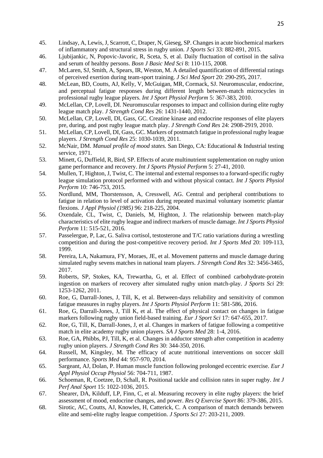- 45. Lindsay, A, Lewis, J, Scarrott, C, Draper, N, Gieseg, SP. Changes in acute biochemical markers of inflammatory and structural stress in rugby union. *J Sports Sci* 33: 882-891, 2015.
- 46. Ljubijankic, N, Popovic-Javoric, R, Sceta, S, et al. Daily fluctuation of cortisol in the saliva and serum of healthy persons. *Bosn J Basic Med Sci* 8: 110-115, 2008.
- 47. McLaren, SJ, Smith, A, Spears, IR, Weston, M. A detailed quantification of differential ratings of perceived exertion during team-sport training. *J Sci Med Sport* 20: 290-295, 2017.
- 48. McLean, BD, Coutts, AJ, Kelly, V, McGuigan, MR, Cormack, SJ. Neuromuscular, endocrine, and perceptual fatigue responses during different length between-match microcycles in professional rugby league players. *Int J Sport Physiol Perform* 5: 367-383, 2010.
- 49. McLellan, CP, Lovell, DI. Neuromuscular responses to impact and collision during elite rugby league match play. *J Strength Cond Res* 26: 1431-1440, 2012.
- 50. McLellan, CP, Lovell, DI, Gass, GC. Creatine kinase and endocrine responses of elite players pre, during, and post rugby league match play. *J Strength Cond Res* 24: 2908-2919, 2010.
- 51. McLellan, CP, Lovell, DI, Gass, GC. Markers of postmatch fatigue in professional rugby league players. *J Strength Cond Res* 25: 1030-1039, 2011.
- 52. McNair, DM. *Manual profile of mood states.* San Diego, CA: Educational & Industrial testing service, 1971.
- 53. Minett, G, Duffield, R, Bird, SP. Effects of acute multinutrient supplementation on rugby union game performance and recovery. *Int J Sports Physiol Perform* 5: 27-41, 2010.
- 54. Mullen, T, Highton, J, Twist, C. The internal and external responses to a forward-specific rugby league simulation protocol performed with and without physical contact. *Int J Sports Physiol Perform* 10: 746-753, 2015.
- 55. Nordlund, MM, Thorstensson, A, Cresswell, AG. Central and peripheral contributions to fatigue in relation to level of activation during repeated maximal voluntary isometric plantar flexions. *J Appl Physiol (1985)* 96: 218-225, 2004.
- 56. Oxendale, CL, Twist, C, Daniels, M, Highton, J. The relationship between match-play characteristics of elite rugby league and indirect markers of muscle damage. *Int J Sports Physiol Perform* 11: 515-521, 2016.
- 57. Passelergue, P, Lac, G. Saliva cortisol, testosterone and T/C ratio variations during a wrestling competition and during the post-competitive recovery period. *Int J Sports Med* 20: 109-113, 1999.
- 58. Pereira, LA, Nakamura, FY, Moraes, JE, et al. Movement patterns and muscle damage during simulated rugby sevens matches in national team players. *J Strength Cond Res* 32: 3456-3465, 2017.
- 59. Roberts, SP, Stokes, KA, Trewartha, G, et al. Effect of combined carbohydrate-protein ingestion on markers of recovery after simulated rugby union match-play. *J Sports Sci* 29: 1253-1262, 2011.
- 60. Roe, G, Darrall-Jones, J, Till, K, et al. Between-days reliability and sensitivity of common fatigue measures in rugby players. *Int J Sports Physiol Perform* 11: 581-586, 2016.
- 61. Roe, G, Darrall-Jones, J, Till K, et al. The effect of physical contact on changes in fatigue markers following rugby union field-based training. *Eur J Sport Sci* 17: 647-655, 2017.
- 62. Roe, G, Till, K, Darrall-Jones, J, et al. Changes in markers of fatigue following a competitive match in elite academy rugby union players. *SA J Sports Med* 28: 1-4, 2016.
- 63. Roe, GA, Phibbs, PJ, Till, K, et al. Changes in adductor strength after competition in academy rugby union players. *J Strength Cond Res* 30: 344-350, 2016.
- 64. Russell, M, Kingsley, M. The efficacy of acute nutritional interventions on soccer skill performance. *Sports Med* 44: 957-970, 2014.
- 65. Sargeant, AJ, Dolan, P. Human muscle function following prolonged eccentric exercise. *Eur J Appl Physiol Occup Physiol* 56: 704-711, 1987.
- 66. Schoeman, R, Coetzee, D, Schall, R. Positional tackle and collision rates in super rugby. *Int J Perf Anal Sport* 15: 1022-1036, 2015.
- 67. Shearer, DA, Kilduff, LP, Finn, C, et al. Measuring recovery in elite rugby players: the brief assessment of mood, endocrine changes, and power. *Res Q Exercise Sport* 86: 379-386, 2015.
- 68. Sirotic, AC, Coutts, AJ, Knowles, H, Catterick, C. A comparison of match demands between elite and semi-elite rugby league competition. *J Sports Sci* 27: 203-211, 2009.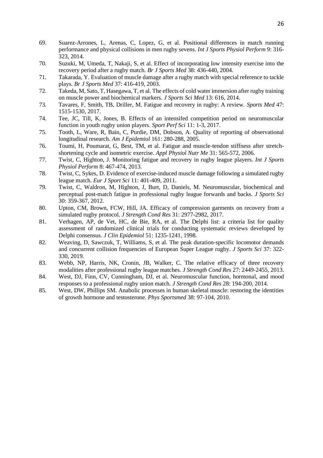- 69. Suarez-Arrones, L, Arenas, C, Lopez, G, et al. Positional differences in match running performance and physical collisions in men rugby sevens. *Int J Sports Physiol Perform* 9: 316- 323, 2014.
- 70. Suzuki, M, Umeda, T, Nakaji, S, et al. Effect of incorporating low intensity exercise into the recovery period after a rugby match. *Br J Sports Med* 38: 436-440, 2004.
- 71. Takarada, Y. Evaluation of muscle damage after a rugby match with special reference to tackle plays. *Br J Sports Med* 37: 416-419, 2003.
- 72. Takeda, M, Sato, T, Hasegawa, T, et al. The effects of cold water immersion after rugby training on muscle power and biochemical markers. *J Sports Sci Med* 13: 616, 2014.
- 73. Tavares, F, Smith, TB, Driller, M. Fatigue and recovery in rugby: A review. *Sports Med* 47: 1515-1530, 2017.
- 74. Tee, JC, Till, K, Jones, B. Effects of an intensifed competition period on neuromuscular function in youth rugby union players. *Sport Perf Sci* 11: 1-3, 2017.
- 75. Tooth, L, Ware, R, Bain, C, Purdie, DM, Dobson, A. Quality of reporting of observational longitudinal research. *Am J Epidemiol* 161: 280-288, 2005.
- 76. Toumi, H, Poumarat, G, Best, TM, et al. Fatigue and muscle-tendon stiffness after stretchshortening cycle and isometric exercise. *Appl Physiol Nutr Me* 31: 565-572, 2006.
- 77. Twist, C, Highton, J. Monitoring fatigue and recovery in rugby league players. *Int J Sports Physiol Perform* 8: 467-474, 2013.
- 78. Twist, C, Sykes, D. Evidence of exercise-induced muscle damage following a simulated rugby league match. *Eur J Sport Sci* 11: 401-409, 2011.
- 79. Twist, C, Waldron, M, Highton, J, Burt, D, Daniels, M. Neuromuscular, biochemical and perceptual post-match fatigue in professional rugby league forwards and backs. *J Sports Sci* 30: 359-367, 2012.
- 80. Upton, CM, Brown, FCW, Hill, JA. Efficacy of compression garments on recovery from a simulated rugby protocol. *J Strength Cond Res* 31: 2977-2982, 2017.
- 81. Verhagen, AP, de Vet, HC, de Bie, RA, et al. The Delphi list: a criteria list for quality assessment of randomized clinical trials for conducting systematic reviews developed by Delphi consensus. *J Clin Epidemiol* 51: 1235-1241, 1998.
- 82. Weaving, D, Sawczuk, T, Williams, S, et al. The peak duration-specific locomotor demands and concurrent collision frequencies of European Super League rugby. *J Sports Sci* 37: 322- 330, 2019.
- 83. Webb, NP, Harris, NK, Cronin, JB, Walker, C. The relative efficacy of three recovery modalities after professional rugby league matches. *J Strength Cond Res* 27: 2449-2455, 2013.
- 84. West, DJ, Finn, CV, Cunningham, DJ, et al. Neuromuscular function, hormonal, and mood responses to a professional rugby union match. *J Strength Cond Res* 28: 194-200, 2014.
- 85. West, DW, Phillips SM. Anabolic processes in human skeletal muscle: restoring the identities of growth hormone and testosterone. *Phys Sportsmed* 38: 97-104, 2010.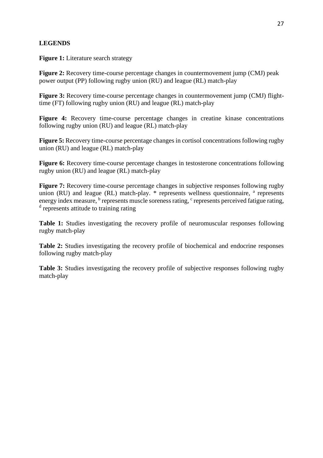# **LEGENDS**

**Figure 1:** Literature search strategy

**Figure 2:** Recovery time-course percentage changes in countermovement jump (CMJ) peak power output (PP) following rugby union (RU) and league (RL) match-play

**Figure 3:** Recovery time-course percentage changes in countermovement jump (CMJ) flighttime (FT) following rugby union (RU) and league (RL) match-play

**Figure 4:** Recovery time-course percentage changes in creatine kinase concentrations following rugby union (RU) and league (RL) match-play

**Figure 5:** Recovery time-course percentage changes in cortisol concentrations following rugby union (RU) and league (RL) match-play

**Figure 6:** Recovery time-course percentage changes in testosterone concentrations following rugby union (RU) and league (RL) match-play

**Figure 7:** Recovery time-course percentage changes in subjective responses following rugby union (RU) and league (RL) match-play. \* represents wellness questionnaire, a represents energy index measure, <sup>b</sup> represents muscle soreness rating, <sup>c</sup> represents perceived fatigue rating, <sup>d</sup> represents attitude to training rating

**Table 1:** Studies investigating the recovery profile of neuromuscular responses following rugby match-play

**Table 2:** Studies investigating the recovery profile of biochemical and endocrine responses following rugby match-play

**Table 3:** Studies investigating the recovery profile of subjective responses following rugby match-play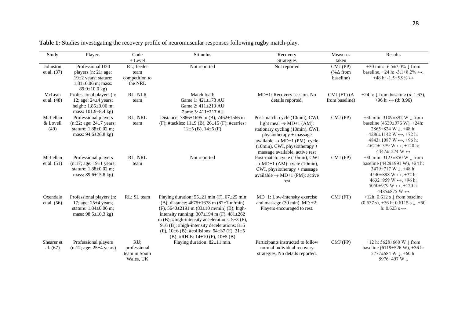| Study                        | Players                                                                                                                 | Code                                              | Stimulus                                                                                                                                                                                                                                                                                                                                                                                                                                             | Recovery                                                                                                                                                                                                                                                | Measures                                    | Results                                                                                                                                                                                                                                                                                                     |
|------------------------------|-------------------------------------------------------------------------------------------------------------------------|---------------------------------------------------|------------------------------------------------------------------------------------------------------------------------------------------------------------------------------------------------------------------------------------------------------------------------------------------------------------------------------------------------------------------------------------------------------------------------------------------------------|---------------------------------------------------------------------------------------------------------------------------------------------------------------------------------------------------------------------------------------------------------|---------------------------------------------|-------------------------------------------------------------------------------------------------------------------------------------------------------------------------------------------------------------------------------------------------------------------------------------------------------------|
|                              |                                                                                                                         | $+$ Level                                         |                                                                                                                                                                                                                                                                                                                                                                                                                                                      | Strategies                                                                                                                                                                                                                                              | taken                                       |                                                                                                                                                                                                                                                                                                             |
| Johnston<br>et al. (37)      | Professional U20<br>players (n: 21; age:<br>$19\pm2$ years; stature:<br>$1.81 \pm 0.06$ m; mass:<br>$89.9 \pm 10.0$ kg) | RL; feeder<br>team<br>competition to<br>the NRL   | Not reported                                                                                                                                                                                                                                                                                                                                                                                                                                         | Not reported                                                                                                                                                                                                                                            | $CMJ$ (PP)<br>(% $\Delta$ from<br>baseline) | +30 min: -6.5±7.0% $\downarrow$ from<br>baseline, $+24$ h: $-3.1\pm8.2\% \leftrightarrow$ ,<br>$+48$ h: $-1.5\pm5.9\% \leftrightarrow$                                                                                                                                                                      |
| McLean                       | Professional players (n:                                                                                                | RL; NLR                                           | Match load:                                                                                                                                                                                                                                                                                                                                                                                                                                          | MD+1: Recovery session. No                                                                                                                                                                                                                              | CMJ (FT) $(\Delta$                          | +24 h: $\downarrow$ from baseline (d: 1.67),                                                                                                                                                                                                                                                                |
| et al. $(48)$                | 12; age: $24\pm4$ years;<br>height: $1.85 \pm 0.06$ m;<br>mass: 101.9±8.4 kg)                                           | team                                              | Game 1: 421±173 AU<br>Game 2: 411±213 AU<br>Game 3: 411±217 AU                                                                                                                                                                                                                                                                                                                                                                                       | details reported.                                                                                                                                                                                                                                       | from baseline)                              | +96 h: ↔ $(d: 0.96)$                                                                                                                                                                                                                                                                                        |
| McLellan<br>& Lovell<br>(49) | Professional players<br>(n:22; age: 24±7 years;<br>stature: $1.88 \pm 0.02$ m;<br>mass: $94.6 \pm 26.8$ kg)             | RL; NRL<br>team                                   | Distance: 7886±1695 m (B), 7462±1566 m<br>(F); #tackles: $11\pm9$ (B), $26\pm15$ (F); #carries:<br>$12\pm 5$ (B), $14\pm 5$ (F)                                                                                                                                                                                                                                                                                                                      | Post-match: cycle (10min), CWI,<br>light meal $\rightarrow$ MD+1 (AM):<br>stationary cycling (10min), CWI,<br>physiotherapy + massage<br>available $\rightarrow$ MD+1 (PM): cycle<br>$(10min)$ , CWI, physiotherapy +<br>massage available, active rest | CMJ (PP)                                    | +30 min: $3109 \pm 892$ W $\downarrow$ from<br>baseline $(4539 \pm 976 \text{ W})$ , +24h:<br>2865 $\pm$ 824 W $\downarrow$ , +48 h:<br>4286±1142 W $\leftrightarrow$ , +72 h:<br>4843±1087 W $\leftrightarrow$ , +96 h:<br>4621±1379 W $\leftrightarrow$ , +120 h:<br>4447 $\pm$ 1274 W $\leftrightarrow$  |
| McLellan<br>et al. $(51)$    | Professional players<br>(n:17; age: 19±1 years;<br>stature: 1.88±0.02 m;<br>mass: $89.6 \pm 15.8$ kg)                   | RL; NRL<br>team                                   | Not reported                                                                                                                                                                                                                                                                                                                                                                                                                                         | Post-match: cycle (10min), CWI<br>$\rightarrow$ MD+1 (AM): cycle (10min),<br>$CWI$ , physiotherapy + massage<br>available $\rightarrow$ MD+1 (PM): active<br>rest                                                                                       | $CMJ$ (PP)                                  | +30 min: $3123\pm850$ W $\downarrow$ from<br>baseline $(4429 \pm 991 \text{ W})$ , +24 h:<br>3479 $\pm$ 717 W $\downarrow$ , +48 h:<br>4540 $\pm$ 898 W $\leftrightarrow$ , +72 h:<br>4632±959 W $\leftrightarrow$ , +96 h:<br>5050±979 W $\leftrightarrow$ , +120 h:<br>4485 $\pm$ 875 W $\leftrightarrow$ |
| Oxendale<br>et al. $(56)$    | Professional players (n:<br>17; age: $25 \pm 4$ years;<br>stature: $1.84 \pm 0.06$ m;<br>mass: $98.5 \pm 10.3$ kg)      | RL; SL team                                       | Playing duration: $55\pm21$ min (F), $67\pm25$ min<br>(B); distance: $4675 \pm 1678$ m (82 $\pm 7$ m/min)<br>(F), $5640 \pm 2191$ m (83 $\pm 10$ m/min) (B); high-<br>intensity running: $307 \pm 194$ m (F), $481 \pm 262$<br>m (B); #high-intensity accelerations: $5\pm3$ (F),<br>9 $\pm$ 6 (B); #high-intensity decelerations: 8 $\pm$ 5<br>(F), $10\pm6$ (B); #collisions: $54\pm37$ (F), $31\pm5$<br>(B); #RHIE: $14\pm 10$ (F), $10\pm 5$ (B) | MD+1: Low-intensity exercise<br>and massage $(30 \text{ min})$ . MD +2:<br>Players encouraged to rest.                                                                                                                                                  | $CMJ$ (FT)                                  | +12h: 0.612 s $\downarrow$ from baseline<br>$(0.637 \text{ s})$ , +36 h: 0.6115 s $\downarrow$ , +60<br>h: $0.623$ s $\leftrightarrow$                                                                                                                                                                      |
| Shearer et<br>al. $(67)$     | Professional players<br>$(n:12; age: 25 \pm 4 \text{ years})$                                                           | RU;<br>professional<br>team in South<br>Wales, UK | Playing duration: $82 \pm 11$ min.                                                                                                                                                                                                                                                                                                                                                                                                                   | Participants instructed to follow<br>normal individual recovery<br>strategies. No details reported.                                                                                                                                                     | CMJ (PP)                                    | +12 h: $5628 \pm 660$ W $\downarrow$ from<br>baseline $(6119 \pm 526 \text{ W})$ , +36 h:<br>5777 $\pm$ 684 W $\downarrow$ , +60 h:<br>5976±497 W J                                                                                                                                                         |

**Table 1:** Studies investigating the recovery profile of neuromuscular responses following rugby match-play.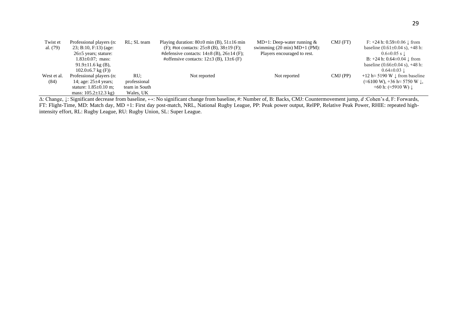| Twist et    | Professional players (n:          | RL; SL team   | Playing duration: $80\pm0$ min (B), $51\pm16$ min | MD+1: Deep-water running $&$                    | $CMJ$ (FT) | F: $+24$ h: $0.59\pm0.06$ J from                                   |
|-------------|-----------------------------------|---------------|---------------------------------------------------|-------------------------------------------------|------------|--------------------------------------------------------------------|
| al. $(79)$  | $23$ ; B:10, F:13) (age:          |               | (F); #tot contacts: $25\pm8$ (B), $38\pm19$ (F);  | swimming $(20 \text{ min}) \text{ MD+1 (PM)}$ : |            | baseline $(0.61 \pm 0.04 \text{ s})$ , +48 h:                      |
|             | $26\pm5$ years; stature:          |               | #defensive contacts: $14\pm8$ (B), $26\pm14$ (F); | Players encouraged to rest.                     |            | $0.6 \pm 0.05$ s $\pm$                                             |
|             | $1.83 \pm 0.07$ ; mass:           |               | #offensive contacts: $12\pm3$ (B), $13\pm6$ (F)   |                                                 |            | B: $+24$ h: $0.64 \pm 0.04$ J from                                 |
|             | $91.9 \pm 11.6$ kg (B),           |               |                                                   |                                                 |            | baseline $(0.66 \pm 0.04 \text{ s})$ , +48 h:                      |
|             | $102.0\pm 6.7$ kg (F))            |               |                                                   |                                                 |            | $0.64 \pm 0.03$ 1.                                                 |
| West et al. | Professional players (n:          | RU:           | Not reported                                      | Not reported                                    | $CMJ$ (PP) | $+12 h \approx 5190 W \downarrow$ from baseline                    |
| (84)        | 14; age: $25 \pm 4$ years;        | professional  |                                                   |                                                 |            | $(\approx 6100 \text{ W})$ , +36 h $\approx$ 5750 W $\downarrow$ , |
|             | stature: $1.85 \pm 0.10$ m;       | team in South |                                                   |                                                 |            | +60 h: $(\approx 5910 \text{ W})$                                  |
|             | mass: $105.2 \pm 12.3 \text{ kg}$ | Wales, UK     |                                                   |                                                 |            |                                                                    |

Δ: Change, ↓: Significant decrease from baseline, ↔: No significant change from baseline, #: Number of, B: Backs, CMJ: Countermovement jump, *d* :Cohen's d, F: Forwards, FT: Flight-Time, MD: Match day, MD +1: First day post-match, NRL, National Rugby League, PP: Peak power output, RelPP, Relative Peak Power, RHIE: repeated highintensity effort, RL: Rugby League, RU: Rugby Union, SL: Super League.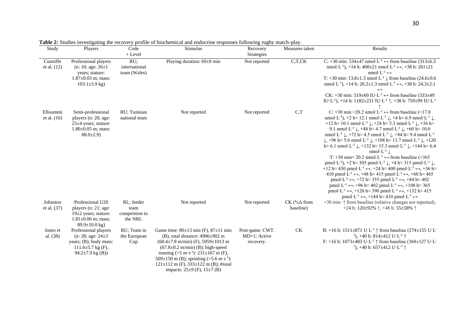| Study                     | Players                                                                                                                      | Code<br>$+$ Level                               | <b>гале 2.</b> Studies investigating the recovery profile of ofocificational and endocrine responses following rugby materi-play.<br>Stimulus                                                                                                                                                                                                                                  | Recovery<br>Strategies                       | Measures taken                   | Results                                                                                                                                                                                                                                                                                                                                                                                                                                                                                                                                                                                                                                                                                                                                                                                                                                                                                                                                                                                                                                                                                                                                                                                                                                                                                                                                                                                                                                                                                                                                                                                                                                                                                                                                                                                                                                                                                                                                                                  |
|---------------------------|------------------------------------------------------------------------------------------------------------------------------|-------------------------------------------------|--------------------------------------------------------------------------------------------------------------------------------------------------------------------------------------------------------------------------------------------------------------------------------------------------------------------------------------------------------------------------------|----------------------------------------------|----------------------------------|--------------------------------------------------------------------------------------------------------------------------------------------------------------------------------------------------------------------------------------------------------------------------------------------------------------------------------------------------------------------------------------------------------------------------------------------------------------------------------------------------------------------------------------------------------------------------------------------------------------------------------------------------------------------------------------------------------------------------------------------------------------------------------------------------------------------------------------------------------------------------------------------------------------------------------------------------------------------------------------------------------------------------------------------------------------------------------------------------------------------------------------------------------------------------------------------------------------------------------------------------------------------------------------------------------------------------------------------------------------------------------------------------------------------------------------------------------------------------------------------------------------------------------------------------------------------------------------------------------------------------------------------------------------------------------------------------------------------------------------------------------------------------------------------------------------------------------------------------------------------------------------------------------------------------------------------------------------------------|
| Cunniffe<br>et al. $(12)$ | Professional players<br>(n: 10; age: $26 \pm 1$<br>years; stature:<br>$1.87 \pm 0.03$ m; mass:<br>$103.1 \pm 3.9$ kg)        | RU;<br>international<br>team (Wales)            | Playing duration: 69±9 min                                                                                                                                                                                                                                                                                                                                                     | Not reported                                 | C, T, CK                         | C: +30 min: $534\pm47$ nmol $\cdot$ L <sup>-1</sup> $\leftrightarrow$ from baseline (313 $\pm$ 6.3)<br>nmol·L <sup>-1</sup> ), +14 h: $400\pm21$ nmol·L <sup>-1</sup> $\leftrightarrow$ , +38 h: $261\pm21$<br>$nmol \cdot L^{-1} \leftrightarrow$<br>T: +30 min: $13.8 \pm 1.3$ nmol $\cdot$ L <sup>-1</sup> $\downarrow$ from baseline (24.6 $\pm$ 0.6<br>nmol·L <sup>-1</sup> ), +14 h: 20.2±1.3 nmol·L <sup>-1</sup> $\leftrightarrow$ , +38 h: 24.3±2.1<br>$\leftrightarrow$<br>CK: +30 min: 519±60 IU·L <sup>-1</sup> $\leftrightarrow$ from baseline (333±49)<br>IU·L <sup>-1</sup> ), +14 h: 1182±231 IU·L <sup>-1</sup> $\uparrow$ , +38 h: 750±99 IU·L <sup>-1</sup>                                                                                                                                                                                                                                                                                                                                                                                                                                                                                                                                                                                                                                                                                                                                                                                                                                                                                                                                                                                                                                                                                                                                                                                                                                                                                           |
| Elloummi<br>et al. $(16)$ | Semi-professional<br>players (n: 20; age:<br>$25\pm4$ years; stature:<br>$1.80\pm0.05$ m; mass:<br>$88.0 \pm 2.9$            | RU; Tunisian<br>national team                   | Not reported                                                                                                                                                                                                                                                                                                                                                                   | Not reported                                 | C,T                              | C: +30 min $\approx$ 20.2 nmol·L <sup>-1</sup> $\leftrightarrow$ from baseline ( $\approx$ 17.8<br>nmol·L <sup>-1</sup> ), +2 h $\approx$ 12.1 nmol·L <sup>-1</sup> $\downarrow$ , +4 h $\approx$ 6.9 nmol·L <sup>-1</sup> $\downarrow$ ,<br>+12 h $\approx$ 10.1 nmol·L <sup>-1</sup> $\downarrow$ , +24 h $\approx$ 5.3 nmol·L <sup>-1</sup> $\downarrow$ , +36 h $\approx$<br>9.1 nmol·L <sup>-1</sup> $\downarrow$ , +48 h $\approx$ 4.7 nmol·L <sup>-1</sup> $\downarrow$ , +60 h $\approx$ 10.0<br>nmol·L <sup>-1</sup> $\downarrow$ , +72 h $\approx$ 4.5 nmol·L <sup>-1</sup> $\downarrow$ , +84 h $\approx$ 9.4 nmol·L <sup>-1</sup><br>$\downarrow$ , +96 h $\approx$ 5.6 nmol·L <sup>-1</sup> $\downarrow$ , +108 h $\approx$ 13.7 nmol·L <sup>-1</sup> $\downarrow$ , +120<br>$h \approx 6.1$ nmol·L <sup>-1</sup> $\downarrow$ , +132 h $\approx 15.3$ nmol·L <sup>-1</sup> $\downarrow$ , +144 h $\approx 6.4$<br>$nmol·L^{-1}$<br>T: +30 min $\approx$ 20.2 nmol·L <sup>-1</sup> $\leftrightarrow$ from baseline ( $\approx$ 365<br>pmol·L <sup>-1</sup> ), +2 h $\approx$ 305 pmol·L <sup>-1</sup> $\downarrow$ , +4 h $\approx$ 315 pmol·L <sup>-1</sup> $\downarrow$ ,<br>+12 h $\approx$ 430 pmol·L <sup>-1</sup> $\leftrightarrow$ , +24 h $\approx$ 400 pmol·L <sup>-1</sup> $\leftrightarrow$ , +36 h $\approx$<br>410 pmol·L <sup>-1</sup> $\leftrightarrow$ , +48 h $\approx$ 415 pmol·L <sup>-1</sup> $\leftrightarrow$ , +60 h $\approx$ 465<br>pmol·L <sup>-1</sup> $\leftrightarrow$ , +72 h $\approx$ 355 pmol·L <sup>-1</sup> $\leftrightarrow$ , +84 h $\approx$ 402<br>pmol·L <sup>-1</sup> $\leftrightarrow$ , +96 h $\approx$ 402 pmol·L <sup>-1</sup> $\leftrightarrow$ , +108 h $\approx$ 365<br>pmol·L <sup>-1</sup> $\leftrightarrow$ , +120 h $\approx$ 390 pmol·L <sup>-1</sup> $\leftrightarrow$ , +132 h $\approx$ 415<br>pmol·L <sup>-1</sup> $\leftrightarrow$ , +144 h $\approx$ 410 pmol·L <sup>-1</sup> $\leftrightarrow$ |
| Johnston<br>et al. $(37)$ | Professional U20<br>players (n: 21; age:<br>$19\pm 2$ years; stature:<br>$1.81 \pm 0.06$ m; mass:<br>$89.9 \pm 10.0$ kg)     | RL; feeder<br>team<br>competition to<br>the NRL | Not reported                                                                                                                                                                                                                                                                                                                                                                   | Not reported                                 | CK (% $\Delta$ from<br>baseline) | +30 min: $\uparrow$ from baseline (relative changes not reported),<br>+24 h: $120\pm92\%$ 1, +48 h: $55\pm58\%$ 1                                                                                                                                                                                                                                                                                                                                                                                                                                                                                                                                                                                                                                                                                                                                                                                                                                                                                                                                                                                                                                                                                                                                                                                                                                                                                                                                                                                                                                                                                                                                                                                                                                                                                                                                                                                                                                                        |
| Jones et<br>al. (38)      | Professional players<br>(n: 28; age: $24\pm3$<br>years; (B); body mass:<br>111.6 $\pm$ 5.7 kg (F),<br>94.2 $\pm$ 7.9 kg (B)) | RU; Team in<br>the European<br>Cup              | Game time: $80\pm13$ min (F), $87\pm11$ min<br>$(B)$ , total distance: 4906 $\pm$ 902 m<br>$(60.4 \pm 7.8 \text{ m/min})$ (F), 5959 $\pm$ 1013 m<br>$(67.8 \pm 8.2 \text{ m/min})$ (B); high-speed<br>running (>5 m·s <sup>-1</sup> ): 231±167 m (F),<br>509±150 m (B); sprinting $(>5.6 \text{ m} \cdot \text{s}^{-1})$ :<br>$121 \pm 112$ m (F), $333 \pm 122$ m (B); #total | Post-game: CWT.<br>MD+1: Active<br>recovery. | $\mathrm{C}\mathrm{K}$           | B: +16 h: 1511±871 U·L <sup>-1</sup> $\uparrow$ from baseline (274±155 U·L <sup>-1</sup><br><sup>1</sup> ), +40 h: 814±412 U·L <sup>-1</sup> $\uparrow$<br>F: +16 h: 1073±483 U·L <sup>-1</sup> $\uparrow$ from baseline (368±127 U·L <sup>-1</sup><br><sup>1</sup> ), +40 h: 657±412 U·L <sup>-1</sup> $\uparrow$                                                                                                                                                                                                                                                                                                                                                                                                                                                                                                                                                                                                                                                                                                                                                                                                                                                                                                                                                                                                                                                                                                                                                                                                                                                                                                                                                                                                                                                                                                                                                                                                                                                       |

**Table 2:** Studies investigating the recovery profile of biochemical and endocrine responses following rugby match-play.

impacts: 25±9 (F), 15±7 (B)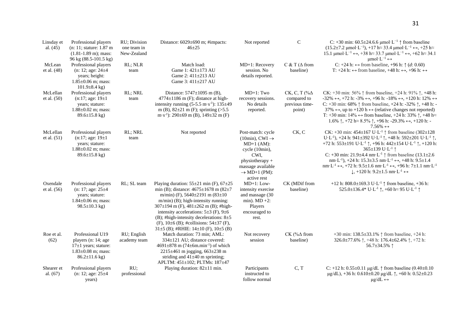| Linsday et<br>al. $(45)$  | Professional players<br>(n: 11; stature: 1.87 m<br>$(1.81 - 1.89 \text{ m})$ ; mass:<br>96 kg (88.5-101.5 kg)         | RU; Division<br>one team in<br>New-Zealand | Distance: $6029 \pm 690$ m; #impacts:<br>$46 + 25$                                                                                                                                                                                                                                                                                                                                                                                              | Not reported                                                                                                                                                                           | $\mathbf C$                                                       | C: +30 min: $60.5\pm24.6.6 \mu$ mol·L <sup>-1</sup> $\uparrow$ from baseline<br>$(15.2 \pm 7.2 \text{ \mu} \text{mol} \cdot \text{L}^{-1}), +17 \text{ h} \approx 33.4 \text{ \mu} \text{mol} \cdot \text{L}^{-1} \leftrightarrow +25 \text{ h} \approx$<br>15.1 µmol·L <sup>-1</sup> ↔, +38 h≈ 33.7 µmol·L <sup>-1</sup> ↔, +62 h≈ 34.1<br>$\mu$ mol·L <sup>-1</sup> $\leftrightarrow$                                                                                                                                                                                                                                                                                                                                             |
|---------------------------|-----------------------------------------------------------------------------------------------------------------------|--------------------------------------------|-------------------------------------------------------------------------------------------------------------------------------------------------------------------------------------------------------------------------------------------------------------------------------------------------------------------------------------------------------------------------------------------------------------------------------------------------|----------------------------------------------------------------------------------------------------------------------------------------------------------------------------------------|-------------------------------------------------------------------|-------------------------------------------------------------------------------------------------------------------------------------------------------------------------------------------------------------------------------------------------------------------------------------------------------------------------------------------------------------------------------------------------------------------------------------------------------------------------------------------------------------------------------------------------------------------------------------------------------------------------------------------------------------------------------------------------------------------------------------|
| McLean<br>et al. $(48)$   | Professional players<br>(n: 12; age: $24 \pm 4$<br>years; height:<br>$1.85 \pm 0.06$ m; mass:<br>$101.9\pm8.4$ kg)    | RL; NLR<br>team                            | Match load:<br>Game 1: 421±173 AU<br>Game 2: 411±213 AU<br>Game 3: 411±217 AU                                                                                                                                                                                                                                                                                                                                                                   | MD+1: Recovery<br>session. No<br>details reported.                                                                                                                                     | C & T ( $\Delta$ from<br>baseline)                                | C: +24 h: $\leftrightarrow$ from baseline, +96 h: $\uparrow$ (d: 0.60)<br>T: +24 h: $\leftrightarrow$ from baseline, +48 h: $\leftrightarrow$ , +96 h: $\leftrightarrow$                                                                                                                                                                                                                                                                                                                                                                                                                                                                                                                                                            |
| McLellan<br>et al. $(50)$ | Professional players<br>(n:17; age: 19±1)<br>years; stature:<br>$1.88 \pm 0.02$ m; mass:<br>$89.6 \pm 15.8$ kg)       | RL; NRL<br>team                            | Distance: 5747±1095 m (B),<br>$4774 \pm 1186$ m (F); distance at high-<br>intensity running $(5-5.5 \text{ m} \cdot \text{s}^{-1})$ : 135 $\pm$ 49<br>m (B), $82\pm21$ m (F); sprinting (>5.5<br>m·s <sup>-1</sup> ): 290±69 m (B), 149±32 m (F)                                                                                                                                                                                                | $MD+1$ : Two<br>recovery sessions.<br>No details<br>reported.                                                                                                                          | CK, C, T $(\% \Delta)$<br>compared to<br>previous time-<br>point) | CK: +30 min: 56% ↑ from baseline, +24 h: 91% ↑, +48 h:<br>$-32\% \leftrightarrow +72$ h: $-3\% \leftrightarrow +96$ h: $-18\% \leftrightarrow +120$ h: $12\% \leftrightarrow$<br>C: +30 min: 68% $\uparrow$ from baseline, +24 h: -32% $\uparrow$ , +48 h: -<br>37% $\leftrightarrow$ , up to +120 h $\leftrightarrow$ (relative changes not reported)<br>T: +30 min: $14\% \leftrightarrow$ from baseline, +24 h: 33% $\uparrow$ , +48 h $\approx$<br>1.6% $\uparrow$ , +72 h $\approx$ 8.5% $\uparrow$ , +96 h: -29.3% $\leftrightarrow$ , +120 h: -<br>$7.56\% \leftrightarrow$                                                                                                                                                  |
| McLellan<br>et al. $(51)$ | Professional players<br>(n:17; age: 19±1)<br>years; stature:<br>$1.88 \pm 0.02$ m; mass:<br>$89.6 \pm 15.8$ kg)       | RL; NRL<br>team                            | Not reported                                                                                                                                                                                                                                                                                                                                                                                                                                    | Post-match: cycle<br>$(10\text{min})$ , CWI $\rightarrow$<br>$MD+1$ (AM):<br>cycle (10min),<br>CWI,<br>physiotherapy +<br>massage available<br>$\rightarrow$ MD+1 (PM):<br>active rest | CK, C                                                             | CK: +30 min: $454 \pm 167$ U·L <sup>-1</sup> $\uparrow$ from baseline (302 $\pm$ 128<br>U·L <sup>-1</sup> ), +24 h: 941±392 U·L <sup>-1</sup> $\uparrow$ , +48 h: 592±201 U·L <sup>-1</sup> $\uparrow$ ,<br>+72 h: 553±191 U·L <sup>-1</sup> $\uparrow$ , +96 h: 442±154 U·L <sup>-1</sup> $\uparrow$ , +120 h:<br>365±139 U·L <sup>-1</sup> ↑<br>C: +30 min: 21.9±4.4 nm·L <sup>-1</sup> $\uparrow$ from baseline (13.1±2.6)<br>nm·L <sup>-1</sup> ), +24 h: 15.3±3.5 nm·L <sup>-1</sup> $\leftrightarrow$ , +48 h: 9.5±1.4<br>nm·L <sup>-1</sup> $\leftrightarrow$ , +72 h: 9.5±1.6 nm·L <sup>-1</sup> $\leftrightarrow$ , +96 h: 7±1.1 nm·L <sup>-1</sup><br>$\downarrow$ , +120 h: 9.2±1.5 nm·L <sup>-1</sup> $\leftrightarrow$ |
| Oxendale<br>et al. (56)   | Professional players<br>(n: 17; age: $25 \pm 4$<br>years; stature:<br>$1.84 \pm 0.06$ m; mass:<br>$98.5 \pm 10.3$ kg) | RL; SL team                                | Playing duration: $55\pm21$ min (F), $67\pm25$<br>min (B); distance: $4675 \pm 1678$ m (82 $\pm$ 7<br>m/min) (F), $5640 \pm 2191$ m $(83 \pm 10)$<br>$m/min$ (B); high-intensity running:<br>$307\pm194$ m (F), $481\pm262$ m (B); #high-<br>intensity accelerations: $5\pm3$ (F), $9\pm6$<br>(B); #high-intensity decelerations: $8\pm5$<br>(F), $10\pm6$ (B); #collisions: $54\pm37$ (F),<br>$31\pm5$ (B); #RHIE: $14\pm10$ (F), $10\pm5$ (B) | $MD+1: Low-$<br>intensity exercise<br>and massage (30<br>min). $MD +2$ :<br>Players<br>encouraged to<br>rest.                                                                          | CK (MDif from<br>baseline)                                        | +12 h: 808.0±169.3 U·L <sup>-1</sup> $\uparrow$ from baseline, +36 h:<br>525.0±136.4* U·L <sup>-1</sup> $\uparrow$ , +60 h $\approx$ 95 U·L <sup>-1</sup> $\uparrow$                                                                                                                                                                                                                                                                                                                                                                                                                                                                                                                                                                |
| Roe et al.<br>(62)        | Professional U19<br>players (n: 14; age<br>$17±1$ years; stature:<br>$1.83 \pm 0.08$ m; mass:<br>$86.2 \pm 11.6$ kg)  | RU; English<br>academy team                | Match duration: 73 min; AML:<br>334±121 AU; distance covered:<br>4691±878 m (74±6m.min <sup>-1</sup> ) of which<br>$2215 \pm 461$ m jogging, 663 $\pm 238$ m<br>striding and $41\pm40$ m sprinting;<br>APLTM: 451±102; PLTMs: 187±47                                                                                                                                                                                                            | Not recovery<br>session                                                                                                                                                                | CK (% $\Delta$ from<br>baseline)                                  | +30 min: $138.5 \pm 33.1\%$ $\uparrow$ from baseline, +24 h:<br>326.0±77.6% $\uparrow$ , +48 h: 176.4±62.4% $\uparrow$ , +72 h:<br>56.7 $\pm$ 34.5% ↑                                                                                                                                                                                                                                                                                                                                                                                                                                                                                                                                                                               |
| Shearer et<br>al. $(67)$  | Professional players<br>(n: 12; age: $25 \pm 4$<br>years)                                                             | RU;<br>professional                        | Playing duration: 82±11 min.                                                                                                                                                                                                                                                                                                                                                                                                                    | Participants<br>instructed to<br>follow normal                                                                                                                                         | C, T                                                              | C: +12 h: $0.55 \pm 0.11$ µg/dL $\uparrow$ from baseline $(0.40 \pm 0.10$<br>$\mu$ g/dL), +36 h: 0.610±0.20 $\mu$ g/dL $\uparrow$ , +60 h: 0.52±0.23<br>$\mu$ g/dL $\leftrightarrow$                                                                                                                                                                                                                                                                                                                                                                                                                                                                                                                                                |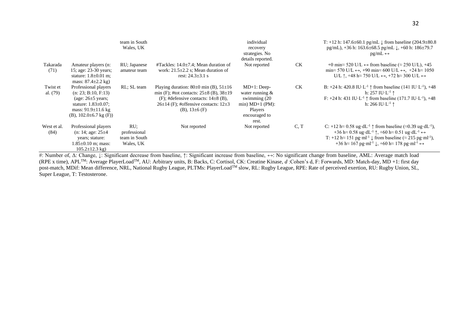|                        |                                                                                                                                                                   | team in South<br>Wales, UK                        |                                                                                                                                                                                                                      | individual<br>recovery<br>strategies. No<br>details reported.                                                   |      | T: +12 h: 147.6 $\pm$ 60.1 pg/mL $\downarrow$ from baseline (204.9 $\pm$ 80.8)<br>pg/mL), +36 h: 163.6 $\pm$ 68.5 pg/mL $\downarrow$ , +60 h: 186 $\pm$ 79.7<br>$pg/mL \leftrightarrow$                                                                                                                                                                                                                                                                                                                        |
|------------------------|-------------------------------------------------------------------------------------------------------------------------------------------------------------------|---------------------------------------------------|----------------------------------------------------------------------------------------------------------------------------------------------------------------------------------------------------------------------|-----------------------------------------------------------------------------------------------------------------|------|----------------------------------------------------------------------------------------------------------------------------------------------------------------------------------------------------------------------------------------------------------------------------------------------------------------------------------------------------------------------------------------------------------------------------------------------------------------------------------------------------------------|
| Takarada<br>(71)       | Amateur players (n:<br>15; age: 23-30 years;<br>stature: $1.8 \pm 0.01$ m;<br>mass: $87.4 \pm 2.2$ kg)                                                            | RU; Japanese<br>amateur team                      | #Tackles: $14.0\pm7.4$ ; Mean duration of<br>work: $21.5\pm2.2$ s; Mean duration of<br>rest: $24.3 \pm 3.1$ s                                                                                                        | Not reported                                                                                                    | CK   | +0 min $\approx$ 520 U/L $\leftrightarrow$ from baseline ( $\approx$ 250 U/L), +45<br>$\min \approx 570 \text{ U/L} \leftrightarrow 490 \text{ min} \approx 600 \text{ U/L} \leftrightarrow 424 \text{ h} \approx 1050$<br>U/L $\uparrow$ , +48 h $\approx$ 750 U/L $\leftrightarrow$ , +72 h $\approx$ 300 U/L $\leftrightarrow$                                                                                                                                                                              |
| Twist et<br>al. $(79)$ | Professional players<br>(n: 23; B:10, F:13)<br>(age: $26\pm5$ years;<br>stature: $1.83 \pm 0.07$ ;<br>mass: $91.9 \pm 11.6$ kg<br>$(B)$ , 102.0 $\pm$ 6.7 kg (F)) | RL; SL team                                       | Playing duration: $80\pm0$ min (B), $51\pm16$<br>min (F); #tot contacts: $25\pm8$ (B), $38\pm19$<br>(F); #defensive contacts: $14\pm8$ (B),<br>$26\pm14$ (F); #offensive contacts: $12\pm3$<br>$(B)$ , $13\pm 6$ (F) | $MD+1$ : Deep-<br>water running $\&$<br>swimming (20)<br>$min) MD+1 (PM):$<br>Players<br>encouraged to<br>rest. | СK   | B: +24 h: 420.8 IU·L <sup>-1</sup> $\uparrow$ from baseline (141 IU·L <sup>-1</sup> ), +48<br>h: 257 IU $\cdot$ L <sup>-1</sup> $\uparrow$<br>F: +24 h: 431 IU·L <sup>-1</sup> $\uparrow$ from baseline (171.7 IU·L <sup>-1</sup> ), +48<br>h: 266 IU·L <sup>-1</sup> ↑                                                                                                                                                                                                                                        |
| West et al.<br>(84)    | Professional players<br>(n: 14; age: $25 \pm 4$<br>years; stature:<br>$1.85 \pm 0.10$ m; mass:<br>$105.2 \pm 12.3$ kg)                                            | RU;<br>professional<br>team in South<br>Wales, UK | Not reported                                                                                                                                                                                                         | Not reported                                                                                                    | C, T | C: +12 h $\approx$ 0.58 ug·dL <sup>-1</sup> $\uparrow$ from baseline ( $\approx$ 0.39 ug·dL <sup>-1</sup> ),<br>$+36 \text{ h} \approx 0.58 \text{ ug} \cdot \text{d} L^{-1}$ $\uparrow$ , $+60 \text{ h} \approx 0.51 \text{ ug} \cdot \text{d} L^{-1}$ $\leftrightarrow$<br>T: +12 h $\approx$ 151 pg·ml <sup>-1</sup> $\downarrow$ from baseline ( $\approx$ 215 pg·ml <sup>-1</sup> ),<br>+36 h $\approx$ 167 pg·ml <sup>-1</sup> $\downarrow$ , +60 h $\approx$ 178 pg·ml <sup>-1</sup> $\leftrightarrow$ |

#: Number of, Δ: Change, ↓: Significant decrease from baseline, ↑: Significant increase from baseline, ↔: No significant change from baseline, AML: Average match load (RPE x time), APLTM: Average PlayerLoadTM, AU: Arbitrary units, B: Backs, C: Cortisol, CK: Creatine Kinase, *d* :Cohen's d, F: Forwards, MD: Match-day, MD +1: first day post-match, MDif: Mean difference, NRL, National Rugby League, PLTMs: PlayerLoad™ slow, RL: Rugby League, RPE: Rate of perceived exertion, RU: Rugby Union, SL, Super League, T: Testosterone.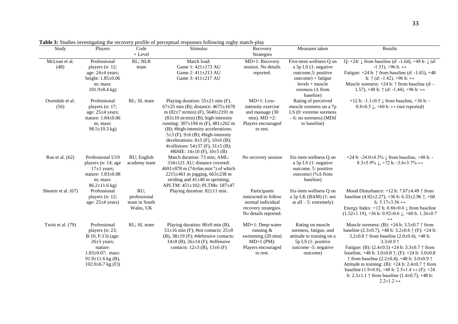| Study                   | Players                                                                                                                                                                  | Code                                              | <b>Stimulus</b>                                                                                                                                                                                                                                                                                                                                                                                                                                         | Recovery                                                                                                     | Measures taken                                                                                                                      | Results                                                                                                                                                                                                                                                                                                                                                                                                                                                                                                                                                                                                             |
|-------------------------|--------------------------------------------------------------------------------------------------------------------------------------------------------------------------|---------------------------------------------------|---------------------------------------------------------------------------------------------------------------------------------------------------------------------------------------------------------------------------------------------------------------------------------------------------------------------------------------------------------------------------------------------------------------------------------------------------------|--------------------------------------------------------------------------------------------------------------|-------------------------------------------------------------------------------------------------------------------------------------|---------------------------------------------------------------------------------------------------------------------------------------------------------------------------------------------------------------------------------------------------------------------------------------------------------------------------------------------------------------------------------------------------------------------------------------------------------------------------------------------------------------------------------------------------------------------------------------------------------------------|
|                         |                                                                                                                                                                          | + Level                                           |                                                                                                                                                                                                                                                                                                                                                                                                                                                         | Strategies                                                                                                   |                                                                                                                                     |                                                                                                                                                                                                                                                                                                                                                                                                                                                                                                                                                                                                                     |
| McLean et al.<br>(48)   | Professional                                                                                                                                                             | RL; NLR                                           | Match load:<br>Game 1: 421±173 AU                                                                                                                                                                                                                                                                                                                                                                                                                       | MD+1: Recovery<br>session. No details                                                                        | Five-item wellness Q on                                                                                                             | Q: +24: $\downarrow$ from baseline (d: -1.64), +48 h: $\downarrow$ (d:<br>$-1.53$ ), $+96$ h: $\leftrightarrow$                                                                                                                                                                                                                                                                                                                                                                                                                                                                                                     |
|                         | players (n: 12;<br>age: $24\pm4$ years;<br>height: $1.85 \pm 0.06$<br>m; mass:<br>$101.9\pm8.4$ kg)                                                                      | team                                              | Game 2: 411±213 AU<br>Game 3: 411±217 AU                                                                                                                                                                                                                                                                                                                                                                                                                | reported.                                                                                                    | a 5p LS $(1:$ negative<br>outcome, 5: positive<br>$outcome$ ) + fatigue<br>$levels + muscle$<br>soreness ( $\Delta$ from            | Fatigue: $+24$ h: $\uparrow$ from baseline (d: -1.65), +48<br>h: $\uparrow$ (d: -1.42), +96 h: $\leftrightarrow$<br>Muscle soreness: $+24$ h: $\uparrow$ from baseline (d: -<br>1.57), +48 h: $\uparrow$ (d: -1.44), +96 h: $\leftrightarrow$                                                                                                                                                                                                                                                                                                                                                                       |
| Oxendale et al.<br>(56) | Professional<br>players (n: 17;<br>age: $25\pm4$ years;<br>stature: 1.84±0.06<br>m; mass:<br>$98.5 \pm 10.3$ kg)                                                         | RL; SL team                                       | Playing duration: $55\pm21$ min (F),<br>$67\pm25$ min (B); distance: $4675\pm1678$<br>m $(82\pm7 \text{ m/min})$ (F), 5640 $\pm$ 2191 m<br>$(83\pm10 \text{ m/min})$ (B); high-intensity<br>running: 307±194 m (F), 481±262 m<br>(B); #high-intensity accelerations:<br>5 $\pm$ 3 (F), 9 $\pm$ 6 (B); #high-intensity<br>decelerations: $8\pm 5$ (F), $10\pm 6$ (B);<br>#collisions: $54\pm37$ (F), $31\pm5$ (B);<br>#RHIE: $14\pm10$ (F), $10\pm5$ (B) | $MD+1$ : Low-<br>intensity exercise<br>and massage (30)<br>min). $MD +2$ :<br>Players encouraged<br>to rest. | baseline)<br>Rating of perceived<br>muscle soreness on a 7p<br>LS (0: extreme soreness<br>$-6$ : no soreness) (MDif<br>to baseline) | +12 h: -1.1 $\pm$ 0.5 $\downarrow$ from baseline, +36 h: -<br>$0.8\pm0.5$ $\downarrow$ , +60 h: $\leftrightarrow$ (not reported)                                                                                                                                                                                                                                                                                                                                                                                                                                                                                    |
| Roe et al. $(62)$       | Professional U19<br>players (n: 14; age<br>$17\pm1$ years;<br>stature: 1.83±0.08<br>m; mass:<br>$86.2 \pm 11.6$ kg)                                                      | RU; English<br>academy team                       | Match duration: 73 min; AML:<br>334±121 AU; distance covered:<br>$4691 \pm 878$ m (74 $\pm$ 6m.min <sup>-1</sup> ) of which<br>2215±461 m jogging, 663±238 m<br>striding and $41\pm40$ m sprinting;<br>APLTM: 451±102; PLTMs: 187±47                                                                                                                                                                                                                    | No recovery session                                                                                          | Six-item wellness Q on<br>a 5p LS (1: negative<br>outcome, 5: positive<br>outcome) (%∆ from<br>baseline)                            | +24 h: -24.0±4.3% $\downarrow$ from baseline, +48 h: -<br>8.3±5.9% $\downarrow$ , +72 h: -3.6±3.7% $\leftrightarrow$                                                                                                                                                                                                                                                                                                                                                                                                                                                                                                |
| Shearer et al. (67)     | Professional<br>players $(n: 12)$ ;<br>age: $25\pm4$ years)                                                                                                              | RU;<br>professional<br>team in South<br>Wales, UK | Playing duration: 82±11 min.                                                                                                                                                                                                                                                                                                                                                                                                                            | Participants<br>instructed to follow<br>normal individual<br>recovery strategies.<br>No details reported.    | Six-item wellness Q on<br>a $5p$ LK (BAM) (1: not<br>at all $-5$ : extremely)                                                       | Mood Disturbance: +12 h: 7.67 $\pm$ 4.49 $\uparrow$ from<br>baseline (4.92±2.27), +36 h: 6.33±2.96 $\uparrow$ , +60<br>h: $5.17\pm3.56 \leftrightarrow$<br>Energy Index: +12 h: $0.86 \pm 0.6 \downarrow$ from baseline<br>$(1.52 \pm 1.19), +36$ h: $0.92 \pm 0.6$ J, $+60$ h: $1.26 \pm 0.7$<br>$\longleftrightarrow$                                                                                                                                                                                                                                                                                             |
| Twist et al. (79)       | Professional<br>players $(n: 23)$ ;<br>B:10, F:13) (age:<br>$26\pm5$ years;<br>stature:<br>$1.83 \pm 0.07$ ; mass:<br>$91.9 \pm 11.6$ kg (B),<br>$102.0 \pm 6.7$ kg (F)) | RL; SL team                                       | Playing duration: $80\pm0$ min (B),<br>$51\pm16$ min (F); #tot contacts: $25\pm8$<br>(B), $38\pm19$ (F); #defensive contacts:<br>$14\pm8$ (B), $26\pm14$ (F); #offensive<br>contacts: $12\pm3$ (B), $13\pm6$ (F)                                                                                                                                                                                                                                        | MD+1: Deep-water<br>running $\&$<br>swimming (20 min)<br>$MD+1$ (PM):<br>Players encouraged<br>to rest.      | Rating on muscle<br>soreness, fatigue, and<br>attitude to training on a<br>5p LS (1: positive<br>outcome -5: negative<br>outcome)   | Muscle soreness: (B): $+24$ h: $3.5\pm0.7$ $\uparrow$ from<br>baseline $(2.3\pm 0.7)$ , +48 h: $3.2\pm 0.6$ $\uparrow$ (F): +24 h:<br>3.2±0.8 $\uparrow$ from baseline (2.0±0.4), +48 h:<br>3.3 $\pm$ 0.9 1<br>Fatigue: (B): $(2.4 \pm 0.5) + 24$ h: $3.3 \pm 0.7$ $\uparrow$ from<br>baseline, $+48$ h: $3.0\pm0.8$ $\uparrow$ ; (F): $+24$ h: $3.0\pm0.8$<br>↑ from baseline (2.2±0.4), +48 h: 3.0±0.9 ↑<br>Attitude to training: (B): +24 h: 2.4 $\pm$ 0.7 $\uparrow$ from<br>baseline (1.9±0.8), +48 h: 2.5±1.4 $\leftrightarrow$ (F): +24<br>h: $2.3 \pm 1.1$ $\uparrow$ from baseline (1.4 $\pm$ 0.7), +48 h: |

**Table 3:** Studies investigating the recovery profile of perceptual responses following rugby match-play

 $2.2 \pm 1.2 \leftrightarrow$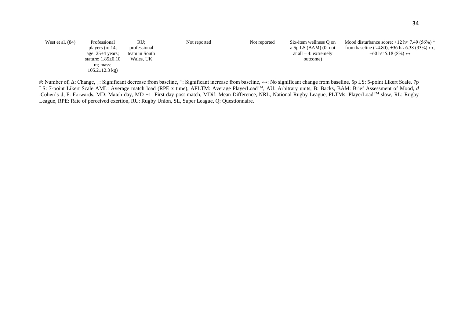| West et al. $(84)$ | Professional                | RU:           | Not reported | Not reported | Six-item wellness O on          | Mood disturbance score: $+12 \text{ h} \approx 7.49$ (56%) $\uparrow$           |
|--------------------|-----------------------------|---------------|--------------|--------------|---------------------------------|---------------------------------------------------------------------------------|
|                    | players $(n: 14)$ ;         | professional  |              |              | a 5p LS (BAM) $(0: \text{not})$ | from baseline ( $\approx$ 4.80), +36 h $\approx$ 6.38 (33%) $\leftrightarrow$ , |
|                    | age: $25\pm4$ years;        | team in South |              |              | at all $-4$ : extremely         | $+60 \text{ h} \approx 5.18$ (8%) $\leftrightarrow$                             |
|                    | stature: $1.85\pm0.10$      | Wales, UK     |              |              | outcome)                        |                                                                                 |
|                    | m; mass:                    |               |              |              |                                 |                                                                                 |
|                    | $105.2 \pm 12.3 \text{ kg}$ |               |              |              |                                 |                                                                                 |

#: Number of, Δ: Change, ↓: Significant decrease from baseline, ↑: Significant increase from baseline, ↔: No significant change from baseline, 5p LS: 5-point Likert Scale, 7p LS: 7-point Likert Scale AML: Average match load (RPE x time), APLTM: Average PlayerLoad<sup>TM</sup>, AU: Arbitrary units, B: Backs, BAM: Brief Assessment of Mood, *d* :Cohen's d, F: Forwards, MD: Match day, MD +1: First day post-match, MDif: Mean Difference, NRL, National Rugby League, PLTMs: PlayerLoad<sup>TM</sup> slow, RL: Rugby League, RPE: Rate of perceived exertion, RU: Rugby Union, SL, Super League, Q: Questionnaire.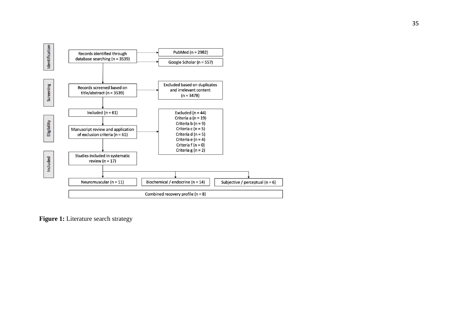

**Figure 1:** Literature search strategy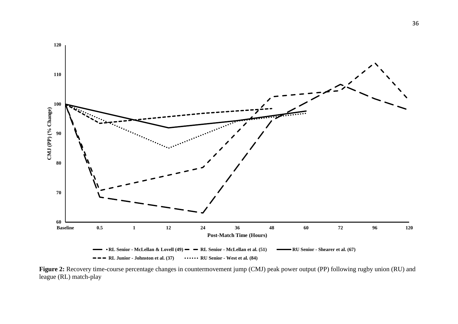

**Figure 2:** Recovery time-course percentage changes in countermovement jump (CMJ) peak power output (PP) following rugby union (RU) and league (RL) match-play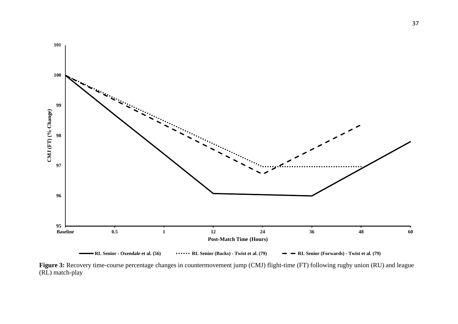![](_page_37_Figure_0.jpeg)

Figure 3: Recovery time-course percentage changes in countermovement jump (CMJ) flight-time (FT) following rugby union (RU) and league (RL) match-play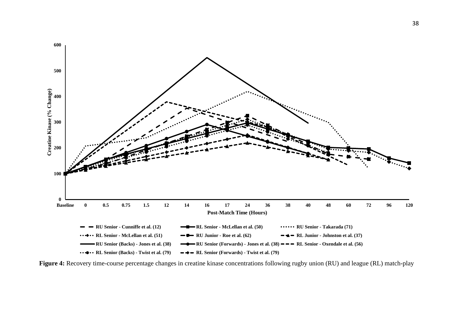![](_page_38_Figure_0.jpeg)

**Figure 4:** Recovery time-course percentage changes in creatine kinase concentrations following rugby union (RU) and league (RL) match-play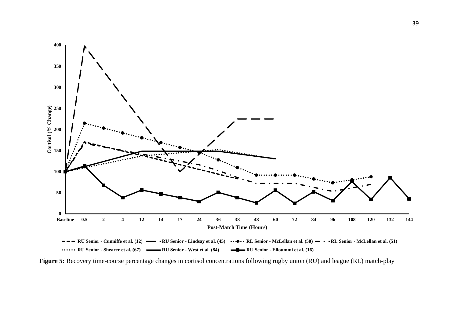![](_page_39_Figure_0.jpeg)

**Figure 5:** Recovery time-course percentage changes in cortisol concentrations following rugby union (RU) and league (RL) match-play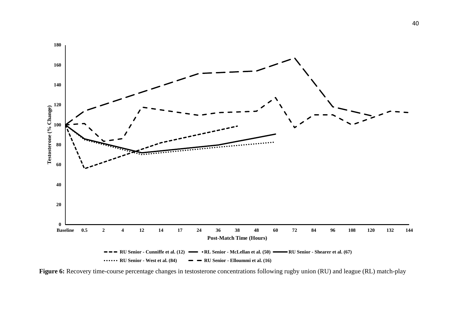![](_page_40_Figure_0.jpeg)

**Figure 6:** Recovery time-course percentage changes in testosterone concentrations following rugby union (RU) and league (RL) match-play